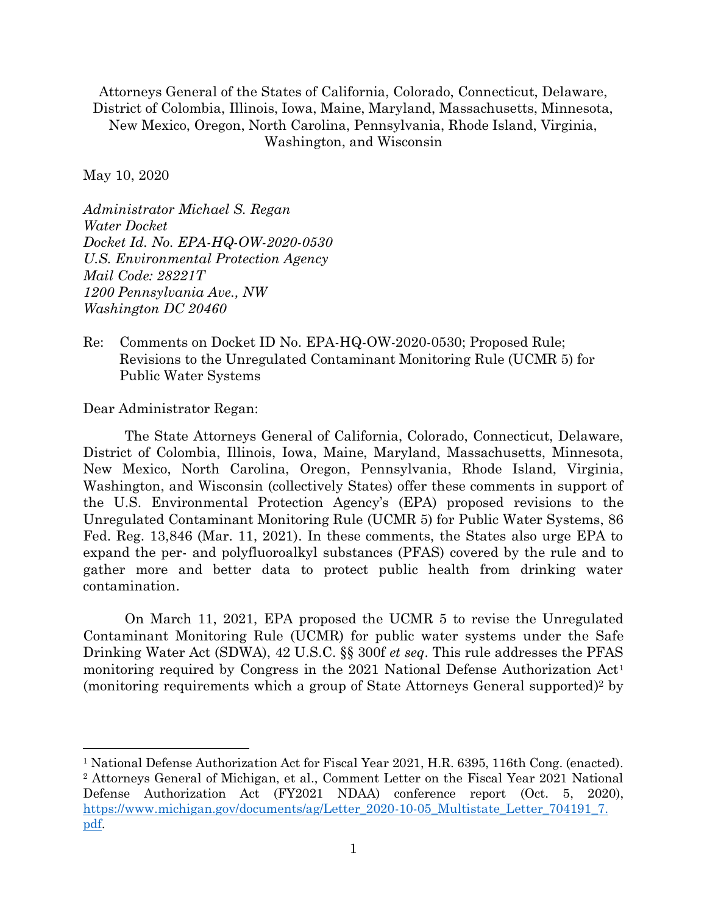Attorneys General of the States of California, Colorado, Connecticut, Delaware, District of Colombia, Illinois, Iowa, Maine, Maryland, Massachusetts, Minnesota, New Mexico, Oregon, North Carolina, Pennsylvania, Rhode Island, Virginia, Washington, and Wisconsin

May 10, 2020

*Administrator Michael S. Regan Water Docket Docket Id. No. EPA-HQ-OW-2020-0530 U.S. Environmental Protection Agency Mail Code: 28221T 1200 Pennsylvania Ave., NW Washington DC 20460*

Re: Comments on Docket ID No. EPA-HQ-OW-2020-0530; Proposed Rule; Revisions to the Unregulated Contaminant Monitoring Rule (UCMR 5) for Public Water Systems

Dear Administrator Regan:

The State Attorneys General of California, Colorado, Connecticut, Delaware, District of Colombia, Illinois, Iowa, Maine, Maryland, Massachusetts, Minnesota, New Mexico, North Carolina, Oregon, Pennsylvania, Rhode Island, Virginia, Washington, and Wisconsin (collectively States) offer these comments in support of the U.S. Environmental Protection Agency's (EPA) proposed revisions to the Unregulated Contaminant Monitoring Rule (UCMR 5) for Public Water Systems, 86 Fed. Reg. 13,846 (Mar. 11, 2021). In these comments, the States also urge EPA to expand the per- and polyfluoroalkyl substances (PFAS) covered by the rule and to gather more and better data to protect public health from drinking water contamination.

On March 11, 2021, EPA proposed the UCMR 5 to revise the Unregulated Contaminant Monitoring Rule (UCMR) for public water systems under the Safe Drinking Water Act (SDWA), 42 U.S.C. §§ 300f *et seq*. This rule addresses the PFAS monitoring required by Congress in the 2021 National Defense Authorization Act<sup>1</sup> (monitoring requirements which a group of State Attorneys General supported) <sup>2</sup> by

<sup>1</sup> National Defense Authorization Act for Fiscal Year 2021, H.R. 6395, 116th Cong. (enacted). <sup>2</sup> Attorneys General of Michigan, et al., Comment Letter on the Fiscal Year 2021 National Defense Authorization Act (FY2021 NDAA) conference report (Oct. 5, 2020), [https://www.michigan.gov/documents/ag/Letter\\_2020-10-05\\_Multistate\\_Letter\\_704191\\_7.](https://www.michigan.gov/documents/ag/Letter_2020-10-05_Multistate_Letter_704191_7.pdf) [pdf.](https://www.michigan.gov/documents/ag/Letter_2020-10-05_Multistate_Letter_704191_7.pdf)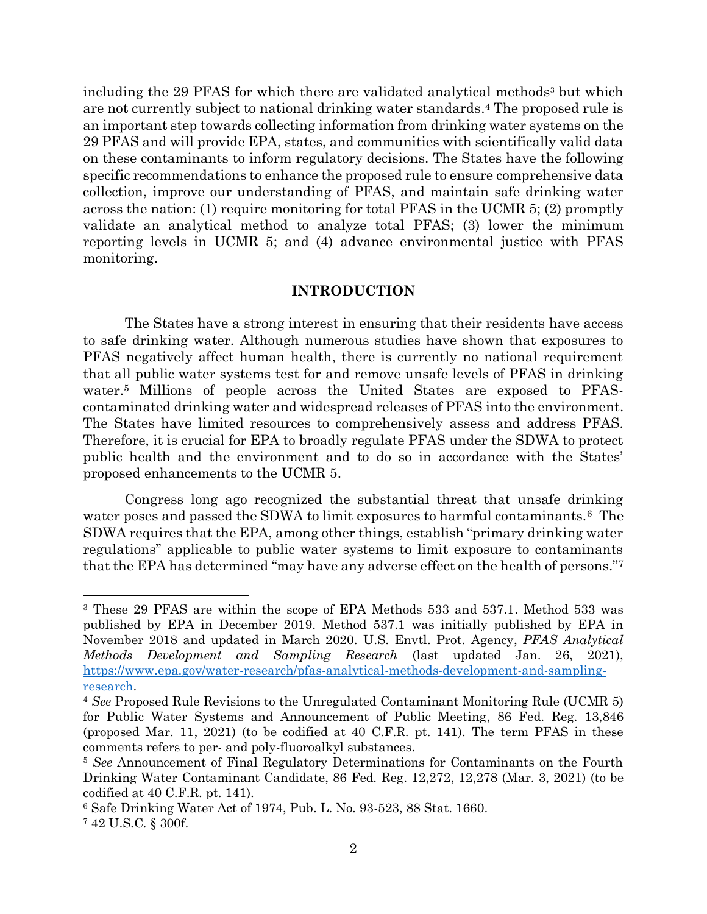including the 29 PFAS for which there are validated analytical methods<sup>3</sup> but which are not currently subject to national drinking water standards. <sup>4</sup> The proposed rule is an important step towards collecting information from drinking water systems on the 29 PFAS and will provide EPA, states, and communities with scientifically valid data on these contaminants to inform regulatory decisions. The States have the following specific recommendations to enhance the proposed rule to ensure comprehensive data collection, improve our understanding of PFAS, and maintain safe drinking water across the nation: (1) require monitoring for total PFAS in the UCMR 5; (2) promptly validate an analytical method to analyze total PFAS; (3) lower the minimum reporting levels in UCMR 5; and (4) advance environmental justice with PFAS monitoring.

### **INTRODUCTION**

The States have a strong interest in ensuring that their residents have access to safe drinking water. Although numerous studies have shown that exposures to PFAS negatively affect human health, there is currently no national requirement that all public water systems test for and remove unsafe levels of PFAS in drinking water.<sup>5</sup> Millions of people across the United States are exposed to PFAScontaminated drinking water and widespread releases of PFAS into the environment. The States have limited resources to comprehensively assess and address PFAS. Therefore, it is crucial for EPA to broadly regulate PFAS under the SDWA to protect public health and the environment and to do so in accordance with the States' proposed enhancements to the UCMR 5.

Congress long ago recognized the substantial threat that unsafe drinking water poses and passed the SDWA to limit exposures to harmful contaminants.<sup>6</sup> The SDWA requires that the EPA, among other things, establish "primary drinking water regulations" applicable to public water systems to limit exposure to contaminants that the EPA has determined "may have any adverse effect on the health of persons."<sup>7</sup>

<sup>3</sup> These 29 PFAS are within the scope of EPA Methods 533 and 537.1. Method 533 was published by EPA in December 2019. Method 537.1 was initially published by EPA in November 2018 and updated in March 2020. U.S. Envtl. Prot. Agency, *PFAS Analytical Methods Development and Sampling Research* (last updated Jan. 26, 2021), [https://www.epa.gov/water-research/pfas-analytical-methods-development-and-sampling](https://www.epa.gov/water-research/pfas-analytical-methods-development-and-sampling-research)[research.](https://www.epa.gov/water-research/pfas-analytical-methods-development-and-sampling-research)

<sup>4</sup> *See* Proposed Rule Revisions to the Unregulated Contaminant Monitoring Rule (UCMR 5) for Public Water Systems and Announcement of Public Meeting, 86 Fed. Reg. 13,846 (proposed Mar. 11, 2021) (to be codified at 40 C.F.R. pt. 141). The term PFAS in these comments refers to per- and poly-fluoroalkyl substances.

<sup>5</sup> *See* Announcement of Final Regulatory Determinations for Contaminants on the Fourth Drinking Water Contaminant Candidate, 86 Fed. Reg. 12,272, 12,278 (Mar. 3, 2021) (to be codified at 40 C.F.R. pt. 141).

<sup>6</sup> Safe Drinking Water Act of 1974, Pub. L. No. 93-523, 88 Stat. 1660.

<sup>7</sup> 42 U.S.C. § 300f.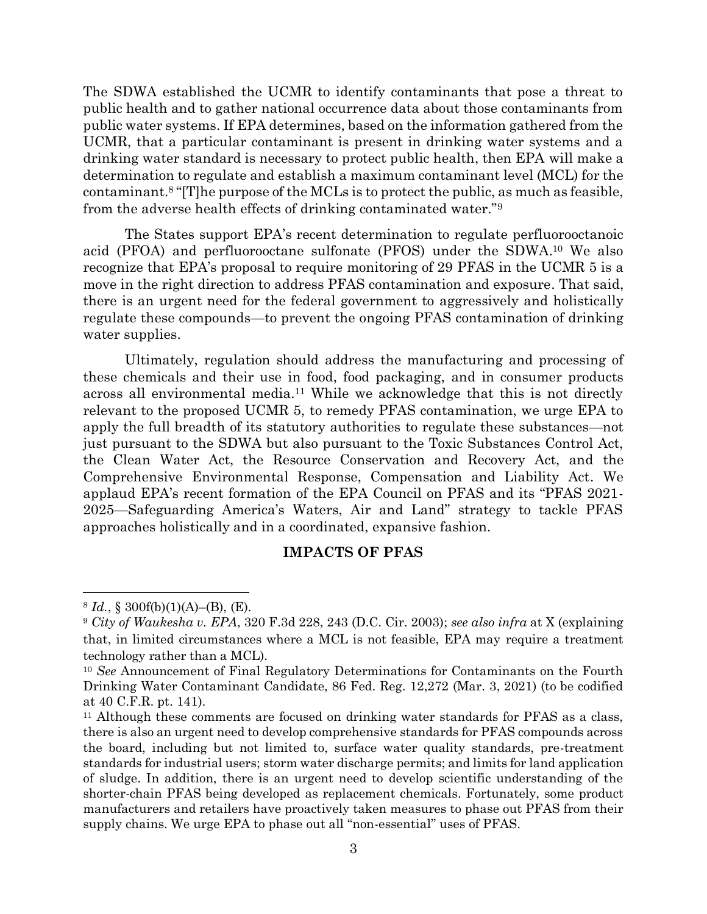The SDWA established the UCMR to identify contaminants that pose a threat to public health and to gather national occurrence data about those contaminants from public water systems. If EPA determines, based on the information gathered from the UCMR, that a particular contaminant is present in drinking water systems and a drinking water standard is necessary to protect public health, then EPA will make a determination to regulate and establish a maximum contaminant level (MCL) for the contaminant. <sup>8</sup> "[T]he purpose of the MCLs is to protect the public, as much as feasible, from the adverse health effects of drinking contaminated water."<sup>9</sup>

The States support EPA's recent determination to regulate perfluorooctanoic acid (PFOA) and perfluorooctane sulfonate (PFOS) under the SDWA. <sup>10</sup> We also recognize that EPA's proposal to require monitoring of 29 PFAS in the UCMR 5 is a move in the right direction to address PFAS contamination and exposure. That said, there is an urgent need for the federal government to aggressively and holistically regulate these compounds—to prevent the ongoing PFAS contamination of drinking water supplies.

Ultimately, regulation should address the manufacturing and processing of these chemicals and their use in food, food packaging, and in consumer products across all environmental media.<sup>11</sup> While we acknowledge that this is not directly relevant to the proposed UCMR 5, to remedy PFAS contamination, we urge EPA to apply the full breadth of its statutory authorities to regulate these substances—not just pursuant to the SDWA but also pursuant to the Toxic Substances Control Act, the Clean Water Act, the Resource Conservation and Recovery Act, and the Comprehensive Environmental Response, Compensation and Liability Act. We applaud EPA's recent formation of the EPA Council on PFAS and its "PFAS 2021- 2025—Safeguarding America's Waters, Air and Land" strategy to tackle PFAS approaches holistically and in a coordinated, expansive fashion.

## **IMPACTS OF PFAS**

 $8 Id., \S$  300f(b)(1)(A)–(B), (E).

<sup>9</sup> *City of Waukesha v. EPA*, 320 F.3d 228, 243 (D.C. Cir. 2003); *see also infra* at X (explaining that, in limited circumstances where a MCL is not feasible, EPA may require a treatment technology rather than a MCL).

<sup>10</sup> *See* Announcement of Final Regulatory Determinations for Contaminants on the Fourth Drinking Water Contaminant Candidate, 86 Fed. Reg. 12,272 (Mar. 3, 2021) (to be codified at 40 C.F.R. pt. 141).

<sup>&</sup>lt;sup>11</sup> Although these comments are focused on drinking water standards for PFAS as a class, there is also an urgent need to develop comprehensive standards for PFAS compounds across the board, including but not limited to, surface water quality standards, pre-treatment standards for industrial users; storm water discharge permits; and limits for land application of sludge. In addition, there is an urgent need to develop scientific understanding of the shorter-chain PFAS being developed as replacement chemicals. Fortunately, some product manufacturers and retailers have proactively taken measures to phase out PFAS from their supply chains. We urge EPA to phase out all "non-essential" uses of PFAS.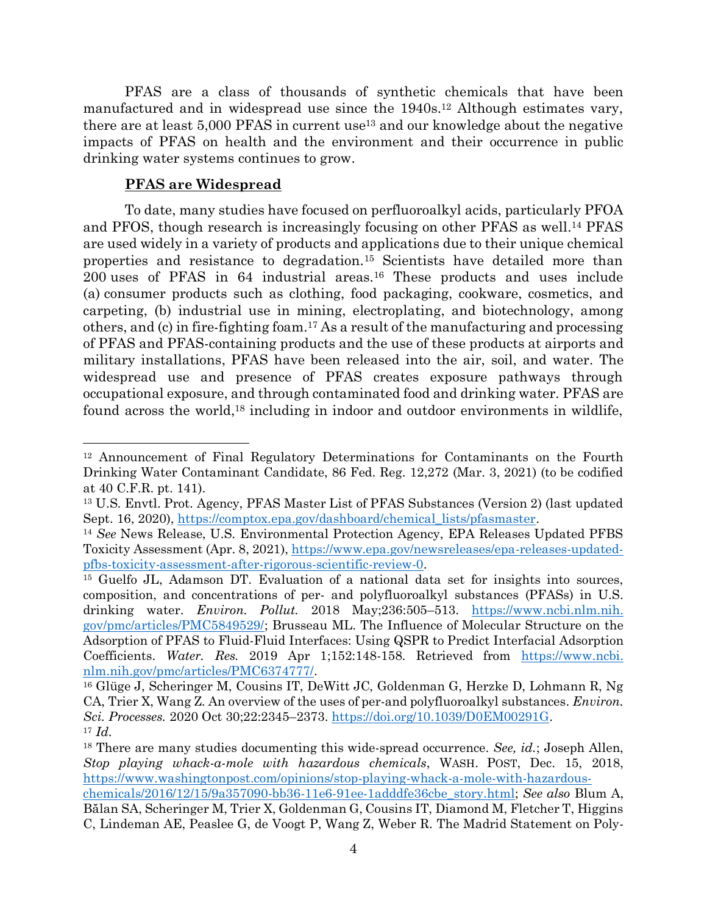PFAS are a class of thousands of synthetic chemicals that have been manufactured and in widespread use since the  $1940s<sup>12</sup>$  Although estimates vary, there are at least 5,000 PFAS in current use<sup>13</sup> and our knowledge about the negative impacts of PFAS on health and the environment and their occurrence in public drinking water systems continues to grow.

## **PFAS are Widespread**

To date, many studies have focused on perfluoroalkyl acids, particularly PFOA and PFOS, though research is increasingly focusing on other PFAS as well. <sup>14</sup> PFAS are used widely in a variety of products and applications due to their unique chemical properties and resistance to degradation.<sup>15</sup> Scientists have detailed more than 200 uses of PFAS in 64 industrial areas.<sup>16</sup> These products and uses include (a) consumer products such as clothing, food packaging, cookware, cosmetics, and carpeting, (b) industrial use in mining, electroplating, and biotechnology, among others, and (c) in fire-fighting foam. <sup>17</sup> As a result of the manufacturing and processing of PFAS and PFAS-containing products and the use of these products at airports and military installations, PFAS have been released into the air, soil, and water. The widespread use and presence of PFAS creates exposure pathways through occupational exposure, and through contaminated food and drinking water. PFAS are found across the world, <sup>18</sup> including in indoor and outdoor environments in wildlife,

<sup>12</sup> Announcement of Final Regulatory Determinations for Contaminants on the Fourth Drinking Water Contaminant Candidate, 86 Fed. Reg. 12,272 (Mar. 3, 2021) (to be codified at 40 C.F.R. pt. 141).

<sup>13</sup> U.S. Envtl. Prot. Agency, PFAS Master List of PFAS Substances (Version 2) (last updated Sept. 16, 2020), [https://comptox.epa.gov/dashboard/chemical\\_lists/pfasmaster.](https://comptox.epa.gov/dashboard/chemical_lists/pfasmaster)

<sup>14</sup> *See* News Release, U.S. Environmental Protection Agency, EPA Releases Updated PFBS Toxicity Assessment (Apr. 8, 2021), [https://www.epa.gov/newsreleases/epa-releases-updated](https://www.epa.gov/newsreleases/epa-releases-updated-pfbs-toxicity-assessment-after-rigorous-scientific-review-0)[pfbs-toxicity-assessment-after-rigorous-scientific-review-0.](https://www.epa.gov/newsreleases/epa-releases-updated-pfbs-toxicity-assessment-after-rigorous-scientific-review-0)

<sup>&</sup>lt;sup>15</sup> Guelfo JL, Adamson DT. Evaluation of a national data set for insights into sources, composition, and concentrations of per- and polyfluoroalkyl substances (PFASs) in U.S. drinking water. *Environ. Pollut.* 2018 May;236:505–513. [https://www.ncbi.nlm.nih.](https://www.ncbi.nlm.nih.gov/pmc/articles/PMC5849529/) [gov/pmc/articles/PMC5849529/;](https://www.ncbi.nlm.nih.gov/pmc/articles/PMC5849529/) Brusseau ML. The Influence of Molecular Structure on the Adsorption of PFAS to Fluid-Fluid Interfaces: Using QSPR to Predict Interfacial Adsorption Coefficients. *Water. Res.* 2019 Apr 1;152:148-158. Retrieved from [https://www.ncbi.](https://www.ncbi.nlm.nih.gov/pmc/articles/PMC6374777/) [nlm.nih.gov/pmc/articles/PMC6374777/.](https://www.ncbi.nlm.nih.gov/pmc/articles/PMC6374777/)

<sup>16</sup> Glüge J, Scheringer M, Cousins IT, DeWitt JC, Goldenman G, Herzke D, Lohmann R, Ng CA, Trier X, Wang Z. An overview of the uses of per-and polyfluoroalkyl substances. *Environ. Sci. Processes.* 2020 Oct 30;22:2345–2373. [https://doi.org/10.1039/D0EM00291G.](https://doi.org/10.1039/D0EM00291G) <sup>17</sup> *Id.*

<sup>18</sup> There are many studies documenting this wide-spread occurrence. *See, id.*; Joseph Allen, *Stop playing whack-a-mole with hazardous chemicals*, WASH. POST, Dec. 15, 2018, [https://www.washingtonpost.com/opinions/stop-playing-whack-a-mole-with-hazardous](https://www.washingtonpost.com/opinions/stop-playing-whack-a-mole-with-hazardous-chemicals/2016/12/15/9a357090-bb36-11e6-91ee-1adddfe36cbe_story.html)[chemicals/2016/12/15/9a357090-bb36-11e6-91ee-1adddfe36cbe\\_story.html;](https://www.washingtonpost.com/opinions/stop-playing-whack-a-mole-with-hazardous-chemicals/2016/12/15/9a357090-bb36-11e6-91ee-1adddfe36cbe_story.html) *See also* Blum A, Bălan SA, Scheringer M, Trier X, Goldenman G, Cousins IT, Diamond M, Fletcher T, Higgins C, Lindeman AE, Peaslee G, de Voogt P, Wang Z, Weber R. The Madrid Statement on Poly-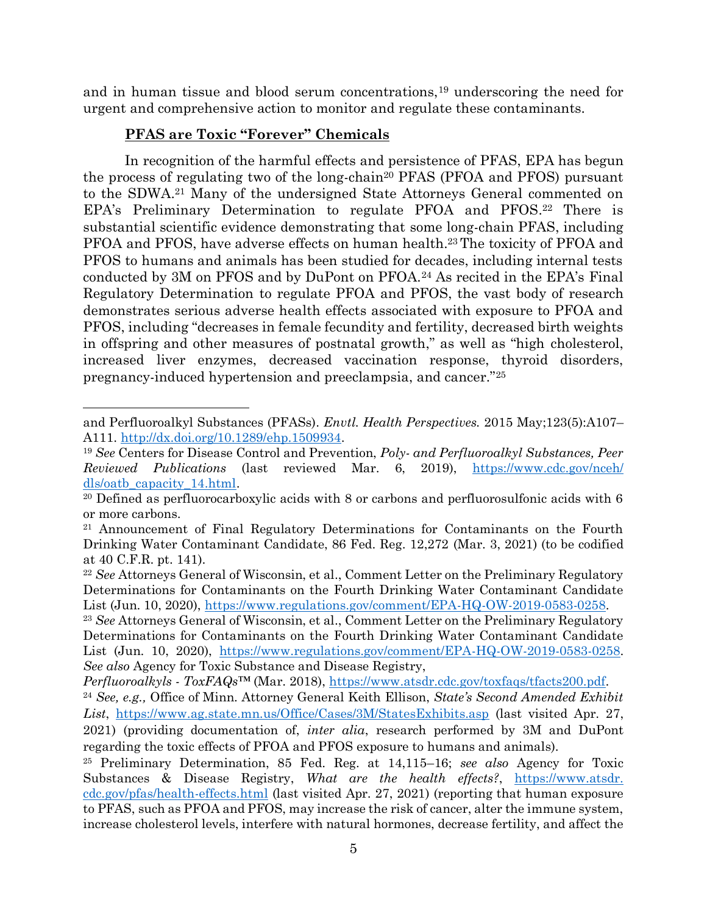and in human tissue and blood serum concentrations,<sup>19</sup> underscoring the need for urgent and comprehensive action to monitor and regulate these contaminants.

## **PFAS are Toxic "Forever" Chemicals**

In recognition of the harmful effects and persistence of PFAS, EPA has begun the process of regulating two of the long-chain<sup>20</sup> PFAS (PFOA and PFOS) pursuant to the SDWA. <sup>21</sup> Many of the undersigned State Attorneys General commented on EPA's Preliminary Determination to regulate PFOA and PFOS. <sup>22</sup> There is substantial scientific evidence demonstrating that some long-chain PFAS, including PFOA and PFOS, have adverse effects on human health.<sup>23</sup> The toxicity of PFOA and PFOS to humans and animals has been studied for decades, including internal tests conducted by 3M on PFOS and by DuPont on PFOA.<sup>24</sup> As recited in the EPA's Final Regulatory Determination to regulate PFOA and PFOS, the vast body of research demonstrates serious adverse health effects associated with exposure to PFOA and PFOS, including "decreases in female fecundity and fertility, decreased birth weights in offspring and other measures of postnatal growth," as well as "high cholesterol, increased liver enzymes, decreased vaccination response, thyroid disorders, pregnancy-induced hypertension and preeclampsia, and cancer."<sup>25</sup>

and Perfluoroalkyl Substances (PFASs). *Envtl. Health Perspectives.* 2015 May;123(5):A107– A111. [http://dx.doi.org/10.1289/ehp.1509934.](http://dx.doi.org/10.1289/ehp.1509934)

<sup>19</sup> *See* Centers for Disease Control and Prevention, *Poly- and Perfluoroalkyl Substances, Peer Reviewed Publications* (last reviewed Mar. 6, 2019), [https://www.cdc.gov/nceh/](https://www.cdc.gov/nceh/dls/oatb_capacity_14.html) [dls/oatb\\_capacity\\_14.html.](https://www.cdc.gov/nceh/dls/oatb_capacity_14.html)

<sup>&</sup>lt;sup>20</sup> Defined as perfluorocarboxylic acids with 8 or carbons and perfluorosulfonic acids with 6 or more carbons.

<sup>21</sup> Announcement of Final Regulatory Determinations for Contaminants on the Fourth Drinking Water Contaminant Candidate, 86 Fed. Reg. 12,272 (Mar. 3, 2021) (to be codified at 40 C.F.R. pt. 141).

<sup>22</sup> *See* Attorneys General of Wisconsin, et al., Comment Letter on the Preliminary Regulatory Determinations for Contaminants on the Fourth Drinking Water Contaminant Candidate List (Jun. 10, 2020), [https://www.regulations.gov/comment/EPA-HQ-OW-2019-0583-0258.](https://www.regulations.gov/comment/EPA-HQ-OW-2019-0583-0258)

<sup>23</sup> *See* Attorneys General of Wisconsin, et al., Comment Letter on the Preliminary Regulatory Determinations for Contaminants on the Fourth Drinking Water Contaminant Candidate List (Jun. 10, 2020), [https://www.regulations.gov/comment/EPA-HQ-OW-2019-0583-0258.](https://www.regulations.gov/comment/EPA-HQ-OW-2019-0583-0258) *See also* Agency for Toxic Substance and Disease Registry,

*Perfluoroalkyls - ToxFAQs™* (Mar. 2018), [https://www.atsdr.cdc.gov/toxfaqs/tfacts200.pdf.](https://www.atsdr.cdc.gov/toxfaqs/tfacts200.pdf)

<sup>24</sup> *See, e.g.,* Office of Minn. Attorney General Keith Ellison, *State's Second Amended Exhibit List*, <https://www.ag.state.mn.us/Office/Cases/3M/StatesExhibits.asp> (last visited Apr. 27, 2021) (providing documentation of, *inter alia*, research performed by 3M and DuPont regarding the toxic effects of PFOA and PFOS exposure to humans and animals).

<sup>25</sup> Preliminary Determination, 85 Fed. Reg. at 14,115–16; *see also* Agency for Toxic Substances & Disease Registry, *What are the health effects?*, [https://www.atsdr.](https://www.atsdr.cdc.gov/pfas/health-effects.html) [cdc.gov/pfas/health-effects.html](https://www.atsdr.cdc.gov/pfas/health-effects.html) (last visited Apr. 27, 2021) (reporting that human exposure to PFAS, such as PFOA and PFOS, may increase the risk of cancer, alter the immune system, increase cholesterol levels, interfere with natural hormones, decrease fertility, and affect the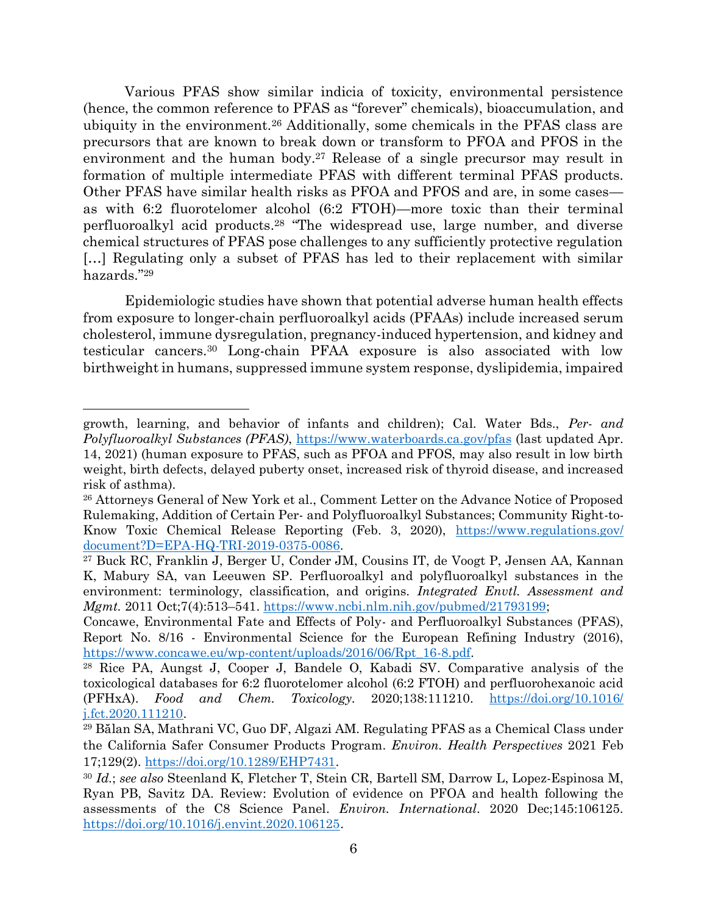Various PFAS show similar indicia of toxicity, environmental persistence (hence, the common reference to PFAS as "forever" chemicals), bioaccumulation, and ubiquity in the environment.<sup>26</sup> Additionally, some chemicals in the PFAS class are precursors that are known to break down or transform to PFOA and PFOS in the environment and the human body.<sup>27</sup> Release of a single precursor may result in formation of multiple intermediate PFAS with different terminal PFAS products. Other PFAS have similar health risks as PFOA and PFOS and are, in some cases as with 6:2 fluorotelomer alcohol (6:2 FTOH)—more toxic than their terminal perfluoroalkyl acid products. <sup>28</sup> "The widespread use, large number, and diverse chemical structures of PFAS pose challenges to any sufficiently protective regulation […] Regulating only a subset of PFAS has led to their replacement with similar hazards."<sup>29</sup>

Epidemiologic studies have shown that potential adverse human health effects from exposure to longer-chain perfluoroalkyl acids (PFAAs) include increased serum cholesterol, immune dysregulation, pregnancy-induced hypertension, and kidney and testicular cancers.<sup>30</sup> Long-chain PFAA exposure is also associated with low birthweight in humans, suppressed immune system response, dyslipidemia, impaired

growth, learning, and behavior of infants and children); Cal. Water Bds., *Per- and Polyfluoroalkyl Substances (PFAS)*,<https://www.waterboards.ca.gov/pfas> (last updated Apr. 14, 2021) (human exposure to PFAS, such as PFOA and PFOS, may also result in low birth weight, birth defects, delayed puberty onset, increased risk of thyroid disease, and increased risk of asthma).

<sup>26</sup> Attorneys General of New York et al., Comment Letter on the Advance Notice of Proposed Rulemaking, Addition of Certain Per- and Polyfluoroalkyl Substances; Community Right-to-Know Toxic Chemical Release Reporting (Feb. 3, 2020), [https://www.regulations.gov/](https://www.regulations.gov/document?D=EPA-HQ-TRI-2019-0375-0086) [document?D=EPA-HQ-TRI-2019-0375-0086.](https://www.regulations.gov/document?D=EPA-HQ-TRI-2019-0375-0086)

<sup>27</sup> Buck RC, Franklin J, Berger U, Conder JM, Cousins IT, de Voogt P, Jensen AA, Kannan K, Mabury SA, van Leeuwen SP. Perfluoroalkyl and polyfluoroalkyl substances in the environment: terminology, classification, and origins. *Integrated Envtl. Assessment and Mgmt.* 2011 Oct;7(4):513–541. [https://www.ncbi.nlm.nih.gov/pubmed/21793199;](https://www.ncbi.nlm.nih.gov/pubmed/21793199)

Concawe, Environmental Fate and Effects of Poly- and Perfluoroalkyl Substances (PFAS), Report No. 8/16 - Environmental Science for the European Refining Industry (2016), [https://www.concawe.eu/wp-content/uploads/2016/06/Rpt\\_16-8.pdf.](https://www.concawe.eu/wp-content/uploads/2016/06/Rpt_16-8.pdf)

<sup>28</sup> Rice PA, Aungst J, Cooper J, Bandele O, Kabadi SV. Comparative analysis of the toxicological databases for 6:2 fluorotelomer alcohol (6:2 FTOH) and perfluorohexanoic acid (PFHxA). *Food and Chem. Toxicology.* 2020;138:111210. [https://doi.org/10.1016/](https://doi.org/10.1016/j.fct.2020.111210) [j.fct.2020.111210.](https://doi.org/10.1016/j.fct.2020.111210)

<sup>29</sup> Bălan SA, Mathrani VC, Guo DF, Algazi AM. Regulating PFAS as a Chemical Class under the California Safer Consumer Products Program. *Environ. Health Perspectives* 2021 Feb 17;129(2). [https://doi.org/10.1289/EHP7431.](https://doi.org/10.1289/EHP7431)

<sup>30</sup> *Id.*; *see also* Steenland K, Fletcher T, Stein CR, Bartell SM, Darrow L, Lopez-Espinosa M, Ryan PB, Savitz DA. Review: Evolution of evidence on PFOA and health following the assessments of the C8 Science Panel. *Environ. International*. 2020 Dec;145:106125. [https://doi.org/10.1016/j.envint.2020.106125.](https://doi.org/10.1016/j.envint.2020.106125)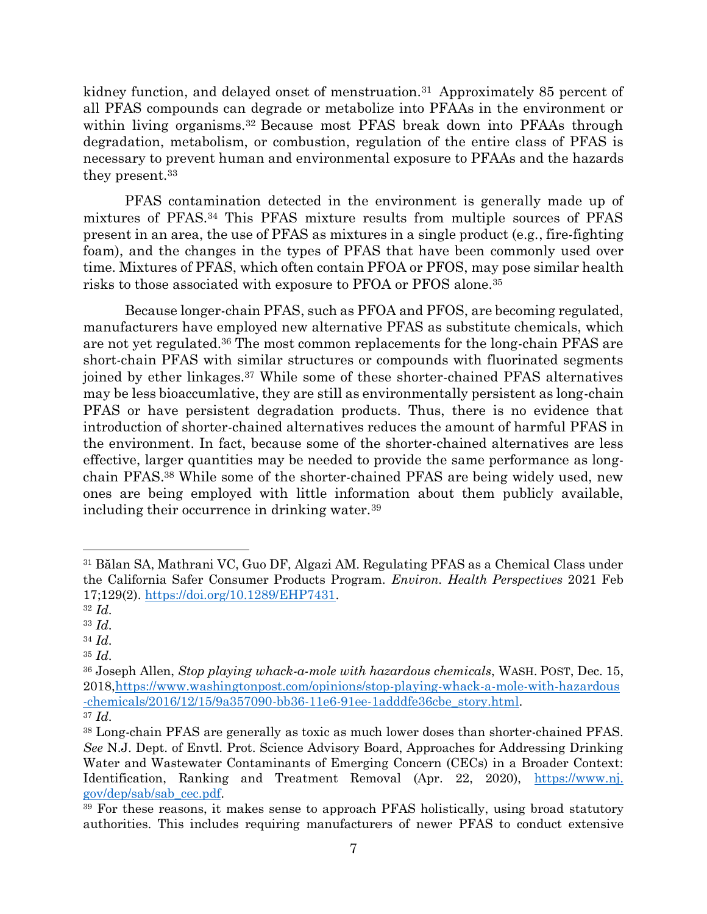kidney function, and delayed onset of menstruation.<sup>31</sup> Approximately 85 percent of all PFAS compounds can degrade or metabolize into PFAAs in the environment or within living organisms.<sup>32</sup> Because most PFAS break down into PFAAs through degradation, metabolism, or combustion, regulation of the entire class of PFAS is necessary to prevent human and environmental exposure to PFAAs and the hazards they present.<sup>33</sup>

PFAS contamination detected in the environment is generally made up of mixtures of PFAS.<sup>34</sup> This PFAS mixture results from multiple sources of PFAS present in an area, the use of PFAS as mixtures in a single product (e.g., fire-fighting foam), and the changes in the types of PFAS that have been commonly used over time. Mixtures of PFAS, which often contain PFOA or PFOS, may pose similar health risks to those associated with exposure to PFOA or PFOS alone.<sup>35</sup>

Because longer-chain PFAS, such as PFOA and PFOS, are becoming regulated, manufacturers have employed new alternative PFAS as substitute chemicals, which are not yet regulated.<sup>36</sup> The most common replacements for the long-chain PFAS are short-chain PFAS with similar structures or compounds with fluorinated segments joined by ether linkages.<sup>37</sup> While some of these shorter-chained PFAS alternatives may be less bioaccumlative, they are still as environmentally persistent as long-chain PFAS or have persistent degradation products. Thus, there is no evidence that introduction of shorter-chained alternatives reduces the amount of harmful PFAS in the environment. In fact, because some of the shorter-chained alternatives are less effective, larger quantities may be needed to provide the same performance as longchain PFAS. <sup>38</sup> While some of the shorter-chained PFAS are being widely used, new ones are being employed with little information about them publicly available, including their occurrence in drinking water.<sup>39</sup>

<sup>31</sup> Bălan SA, Mathrani VC, Guo DF, Algazi AM. Regulating PFAS as a Chemical Class under the California Safer Consumer Products Program. *Environ. Health Perspectives* 2021 Feb 17;129(2). [https://doi.org/10.1289/EHP7431.](https://doi.org/10.1289/EHP7431)

<sup>32</sup> *Id.*

<sup>33</sup> *Id.*

<sup>34</sup> *Id.*

<sup>35</sup> *Id.*

<sup>36</sup> Joseph Allen, *Stop playing whack-a-mole with hazardous chemicals*, WASH. POST, Dec. 15, 2018[,https://www.washingtonpost.com/opinions/stop-playing-whack-a-mole-with-hazardous](https://www.washingtonpost.com/opinions/stop-playing-whack-a-mole-with-hazardous-chemicals/2016/12/15/9a357090-bb36-11e6-91ee-1adddfe36cbe_story.html) [-chemicals/2016/12/15/9a357090-bb36-11e6-91ee-1adddfe36cbe\\_story.html.](https://www.washingtonpost.com/opinions/stop-playing-whack-a-mole-with-hazardous-chemicals/2016/12/15/9a357090-bb36-11e6-91ee-1adddfe36cbe_story.html) <sup>37</sup> *Id.*

<sup>38</sup> Long-chain PFAS are generally as toxic as much lower doses than shorter-chained PFAS. *See* N.J. Dept. of Envtl. Prot. Science Advisory Board, Approaches for Addressing Drinking Water and Wastewater Contaminants of Emerging Concern (CECs) in a Broader Context: Identification, Ranking and Treatment Removal (Apr. 22, 2020), [https://www.nj.](https://www.nj.gov/dep/sab/sab_cec.pdf) [gov/dep/sab/sab\\_cec.pdf.](https://www.nj.gov/dep/sab/sab_cec.pdf)

<sup>&</sup>lt;sup>39</sup> For these reasons, it makes sense to approach PFAS holistically, using broad statutory authorities. This includes requiring manufacturers of newer PFAS to conduct extensive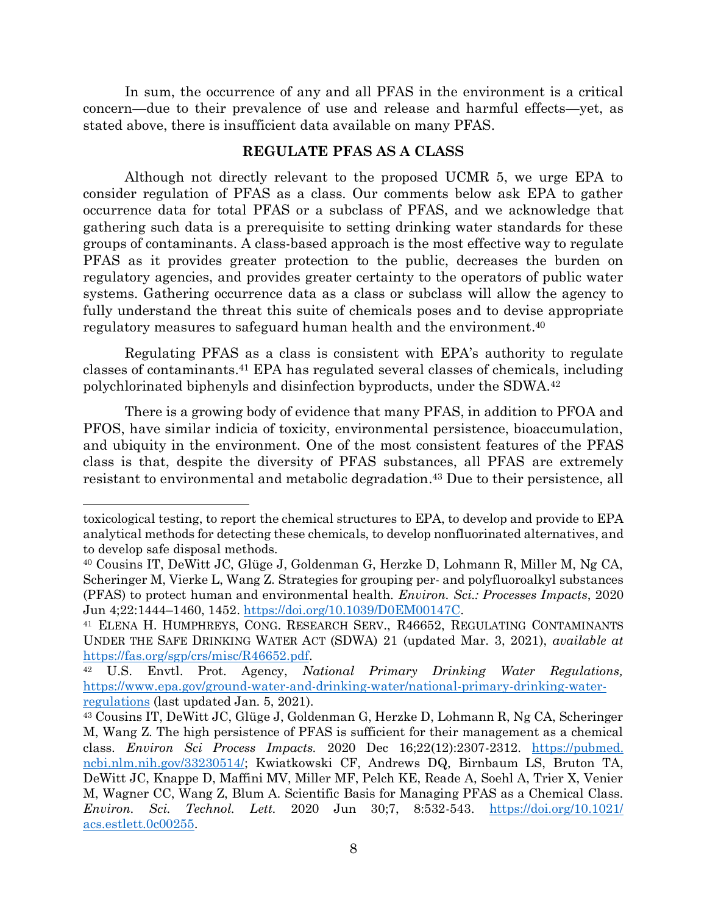In sum, the occurrence of any and all PFAS in the environment is a critical concern—due to their prevalence of use and release and harmful effects—yet, as stated above, there is insufficient data available on many PFAS.

## **REGULATE PFAS AS A CLASS**

Although not directly relevant to the proposed UCMR 5, we urge EPA to consider regulation of PFAS as a class. Our comments below ask EPA to gather occurrence data for total PFAS or a subclass of PFAS, and we acknowledge that gathering such data is a prerequisite to setting drinking water standards for these groups of contaminants. A class-based approach is the most effective way to regulate PFAS as it provides greater protection to the public, decreases the burden on regulatory agencies, and provides greater certainty to the operators of public water systems. Gathering occurrence data as a class or subclass will allow the agency to fully understand the threat this suite of chemicals poses and to devise appropriate regulatory measures to safeguard human health and the environment. 40

Regulating PFAS as a class is consistent with EPA's authority to regulate classes of contaminants. <sup>41</sup> EPA has regulated several classes of chemicals, including polychlorinated biphenyls and disinfection byproducts, under the SDWA.<sup>42</sup>

There is a growing body of evidence that many PFAS, in addition to PFOA and PFOS, have similar indicia of toxicity, environmental persistence, bioaccumulation, and ubiquity in the environment. One of the most consistent features of the PFAS class is that, despite the diversity of PFAS substances, all PFAS are extremely resistant to environmental and metabolic degradation. <sup>43</sup> Due to their persistence, all

toxicological testing, to report the chemical structures to EPA, to develop and provide to EPA analytical methods for detecting these chemicals, to develop nonfluorinated alternatives, and to develop safe disposal methods.

<sup>40</sup> Cousins IT, DeWitt JC, Glüge J, Goldenman G, Herzke D, Lohmann R, Miller M, Ng CA, Scheringer M, Vierke L, Wang Z. Strategies for grouping per- and polyfluoroalkyl substances (PFAS) to protect human and environmental health. *Environ. Sci.: Processes Impacts*, 2020 Jun 4;22:1444–1460, 1452. [https://doi.org/10.1039/D0EM00147C.](https://doi.org/10.1039/D0EM00147C)

<sup>41</sup> ELENA H. HUMPHREYS, CONG. RESEARCH SERV., R46652, REGULATING CONTAMINANTS UNDER THE SAFE DRINKING WATER ACT (SDWA) 21 (updated Mar. 3, 2021), *available at* [https://fas.org/sgp/crs/misc/R46652.pdf.](https://fas.org/sgp/crs/misc/R46652.pdf)

<sup>42</sup> U.S. Envtl. Prot. Agency, *National Primary Drinking Water Regulations,* [https://www.epa.gov/ground-water-and-drinking-water/national-primary-drinking-water](https://www.epa.gov/ground-water-and-drinking-water/national-primary-drinking-water-regulations)[regulations](https://www.epa.gov/ground-water-and-drinking-water/national-primary-drinking-water-regulations) (last updated Jan. 5, 2021).

<sup>43</sup> Cousins IT, DeWitt JC, Glüge J, Goldenman G, Herzke D, Lohmann R, Ng CA, Scheringer M, Wang Z. The high persistence of PFAS is sufficient for their management as a chemical class. *Environ Sci Process Impacts.* 2020 Dec 16;22(12):2307-2312. [https://pubmed.](https://pubmed.ncbi.nlm.nih.gov/33230514/) [ncbi.nlm.nih.gov/33230514/;](https://pubmed.ncbi.nlm.nih.gov/33230514/) Kwiatkowski CF, Andrews DQ, Birnbaum LS, Bruton TA, DeWitt JC, Knappe D, Maffini MV, Miller MF, Pelch KE, Reade A, Soehl A, Trier X, Venier M, Wagner CC, Wang Z, Blum A. Scientific Basis for Managing PFAS as a Chemical Class. *Environ. Sci. Technol. Lett.* 2020 Jun 30;7, 8:532-543. [https://doi.org/10.1021/](https://doi.org/10.1021/acs.estlett.0c00255) [acs.estlett.0c00255.](https://doi.org/10.1021/acs.estlett.0c00255)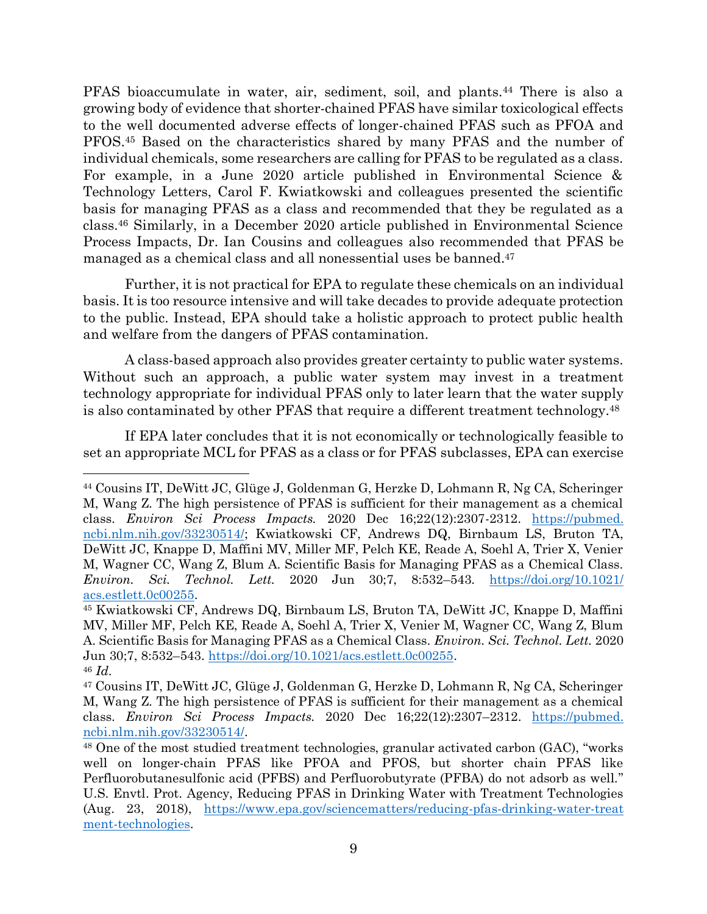PFAS bioaccumulate in water, air, sediment, soil, and plants.<sup>44</sup> There is also a growing body of evidence that shorter-chained PFAS have similar toxicological effects to the well documented adverse effects of longer-chained PFAS such as PFOA and PFOS.<sup>45</sup> Based on the characteristics shared by many PFAS and the number of individual chemicals, some researchers are calling for PFAS to be regulated as a class. For example, in a June 2020 article published in Environmental Science & Technology Letters, Carol F. Kwiatkowski and colleagues presented the scientific basis for managing PFAS as a class and recommended that they be regulated as a class.<sup>46</sup> Similarly, in a December 2020 article published in Environmental Science Process Impacts, Dr. Ian Cousins and colleagues also recommended that PFAS be managed as a chemical class and all nonessential uses be banned. 47

Further, it is not practical for EPA to regulate these chemicals on an individual basis. It is too resource intensive and will take decades to provide adequate protection to the public. Instead, EPA should take a holistic approach to protect public health and welfare from the dangers of PFAS contamination.

A class-based approach also provides greater certainty to public water systems. Without such an approach, a public water system may invest in a treatment technology appropriate for individual PFAS only to later learn that the water supply is also contaminated by other PFAS that require a different treatment technology.<sup>48</sup>

If EPA later concludes that it is not economically or technologically feasible to set an appropriate MCL for PFAS as a class or for PFAS subclasses, EPA can exercise

<sup>44</sup> Cousins IT, DeWitt JC, Glüge J, Goldenman G, Herzke D, Lohmann R, Ng CA, Scheringer M, Wang Z. The high persistence of PFAS is sufficient for their management as a chemical class. *Environ Sci Process Impacts.* 2020 Dec 16;22(12):2307-2312. [https://pubmed.](https://pubmed.ncbi.nlm.nih.gov/33230514/) [ncbi.nlm.nih.gov/33230514/;](https://pubmed.ncbi.nlm.nih.gov/33230514/) Kwiatkowski CF, Andrews DQ, Birnbaum LS, Bruton TA, DeWitt JC, Knappe D, Maffini MV, Miller MF, Pelch KE, Reade A, Soehl A, Trier X, Venier M, Wagner CC, Wang Z, Blum A. Scientific Basis for Managing PFAS as a Chemical Class. *Environ. Sci. Technol. Lett.* 2020 Jun 30;7, 8:532–543. [https://doi.org/10.1021/](https://doi.org/10.1021/acs.estlett.0c00255) [acs.estlett.0c00255.](https://doi.org/10.1021/acs.estlett.0c00255)

<sup>45</sup> Kwiatkowski CF, Andrews DQ, Birnbaum LS, Bruton TA, DeWitt JC, Knappe D, Maffini MV, Miller MF, Pelch KE, Reade A, Soehl A, Trier X, Venier M, Wagner CC, Wang Z, Blum A. Scientific Basis for Managing PFAS as a Chemical Class. *Environ. Sci. Technol. Lett.* 2020 Jun 30;7, 8:532–543. [https://doi.org/10.1021/acs.estlett.0c00255.](https://doi.org/10.1021/acs.estlett.0c00255) <sup>46</sup> *Id.*

<sup>47</sup> Cousins IT, DeWitt JC, Glüge J, Goldenman G, Herzke D, Lohmann R, Ng CA, Scheringer M, Wang Z. The high persistence of PFAS is sufficient for their management as a chemical class. *Environ Sci Process Impacts.* 2020 Dec 16;22(12):2307–2312. [https://pubmed.](https://pubmed.ncbi.nlm.nih.gov/33230514/) [ncbi.nlm.nih.gov/33230514/.](https://pubmed.ncbi.nlm.nih.gov/33230514/)

<sup>48</sup> One of the most studied treatment technologies, granular activated carbon (GAC), "works well on longer-chain PFAS like PFOA and PFOS, but shorter chain PFAS like Perfluorobutanesulfonic acid (PFBS) and Perfluorobutyrate (PFBA) do not adsorb as well." U.S. Envtl. Prot. Agency, Reducing PFAS in Drinking Water with Treatment Technologies (Aug. 23, 2018), [https://www.epa.gov/sciencematters/reducing-pfas-drinking-water-treat](https://www.epa.gov/sciencematters/reducing-pfas-drinking-water-treatment-technologies) [ment-technologies.](https://www.epa.gov/sciencematters/reducing-pfas-drinking-water-treatment-technologies)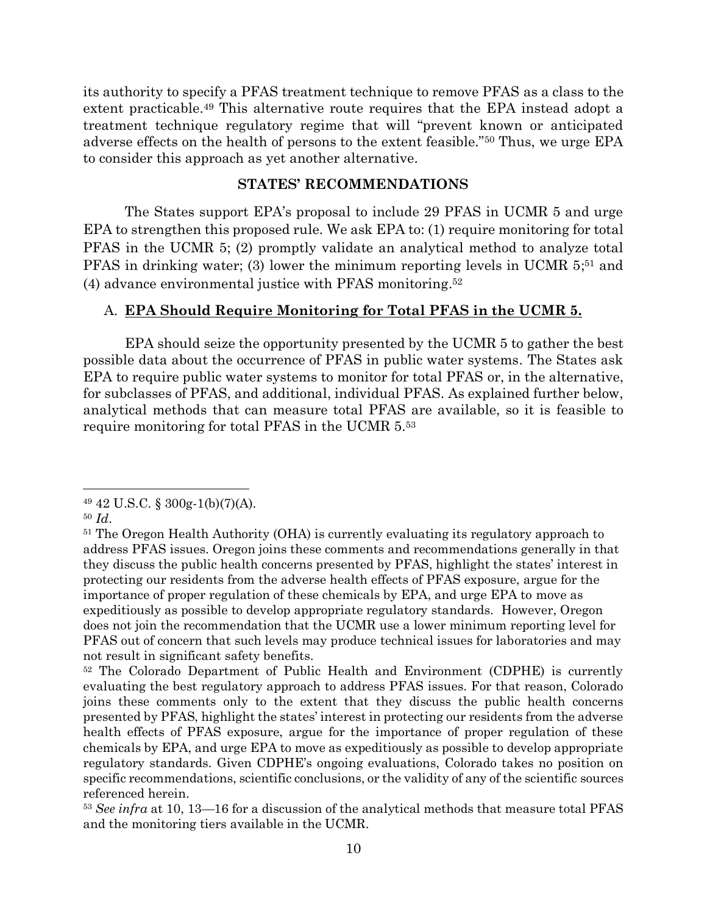its authority to specify a PFAS treatment technique to remove PFAS as a class to the extent practicable.<sup>49</sup> This alternative route requires that the EPA instead adopt a treatment technique regulatory regime that will "prevent known or anticipated adverse effects on the health of persons to the extent feasible."<sup>50</sup> Thus, we urge EPA to consider this approach as yet another alternative.

## **STATES' RECOMMENDATIONS**

The States support EPA's proposal to include 29 PFAS in UCMR 5 and urge EPA to strengthen this proposed rule. We ask EPA to: (1) require monitoring for total PFAS in the UCMR 5; (2) promptly validate an analytical method to analyze total PFAS in drinking water; (3) lower the minimum reporting levels in UCMR 5;<sup>51</sup> and (4) advance environmental justice with PFAS monitoring. 52

## A. **EPA Should Require Monitoring for Total PFAS in the UCMR 5.**

EPA should seize the opportunity presented by the UCMR 5 to gather the best possible data about the occurrence of PFAS in public water systems. The States ask EPA to require public water systems to monitor for total PFAS or, in the alternative, for subclasses of PFAS, and additional, individual PFAS. As explained further below, analytical methods that can measure total PFAS are available, so it is feasible to require monitoring for total PFAS in the UCMR 5. 53

 $49\;42\;$  U.S.C. § 300g-1(b)(7)(A).

<sup>50</sup> *Id*.

<sup>&</sup>lt;sup>51</sup> The Oregon Health Authority (OHA) is currently evaluating its regulatory approach to address PFAS issues. Oregon joins these comments and recommendations generally in that they discuss the public health concerns presented by PFAS, highlight the states' interest in protecting our residents from the adverse health effects of PFAS exposure, argue for the importance of proper regulation of these chemicals by EPA, and urge EPA to move as expeditiously as possible to develop appropriate regulatory standards. However, Oregon does not join the recommendation that the UCMR use a lower minimum reporting level for PFAS out of concern that such levels may produce technical issues for laboratories and may not result in significant safety benefits.

<sup>52</sup> The Colorado Department of Public Health and Environment (CDPHE) is currently evaluating the best regulatory approach to address PFAS issues. For that reason, Colorado joins these comments only to the extent that they discuss the public health concerns presented by PFAS, highlight the states' interest in protecting our residents from the adverse health effects of PFAS exposure, argue for the importance of proper regulation of these chemicals by EPA, and urge EPA to move as expeditiously as possible to develop appropriate regulatory standards. Given CDPHE's ongoing evaluations, Colorado takes no position on specific recommendations, scientific conclusions, or the validity of any of the scientific sources referenced herein.

<sup>53</sup> *See infra* at 10, 13—16 for a discussion of the analytical methods that measure total PFAS and the monitoring tiers available in the UCMR.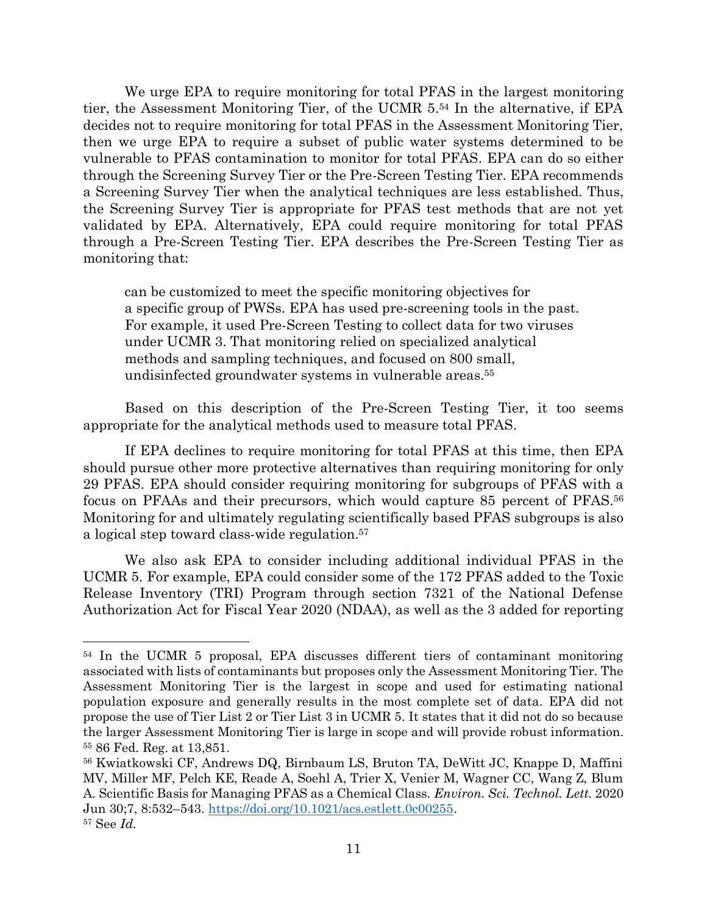We urge EPA to require monitoring for total PFAS in the largest monitoring tier, the Assessment Monitoring Tier, of the UCMR 5. <sup>54</sup> In the alternative, if EPA decides not to require monitoring for total PFAS in the Assessment Monitoring Tier, then we urge EPA to require a subset of public water systems determined to be vulnerable to PFAS contamination to monitor for total PFAS. EPA can do so either through the Screening Survey Tier or the Pre-Screen Testing Tier. EPA recommends a Screening Survey Tier when the analytical techniques are less established. Thus, the Screening Survey Tier is appropriate for PFAS test methods that are not yet validated by EPA. Alternatively, EPA could require monitoring for total PFAS through a Pre-Screen Testing Tier. EPA describes the Pre-Screen Testing Tier as monitoring that:

can be customized to meet the specific monitoring objectives for a specific group of PWSs. EPA has used pre-screening tools in the past. For example, it used Pre-Screen Testing to collect data for two viruses under UCMR 3. That monitoring relied on specialized analytical methods and sampling techniques, and focused on 800 small, undisinfected groundwater systems in vulnerable areas.<sup>55</sup>

Based on this description of the Pre-Screen Testing Tier, it too seems appropriate for the analytical methods used to measure total PFAS.

If EPA declines to require monitoring for total PFAS at this time, then EPA should pursue other more protective alternatives than requiring monitoring for only 29 PFAS. EPA should consider requiring monitoring for subgroups of PFAS with a focus on PFAAs and their precursors, which would capture 85 percent of PFAS.<sup>56</sup> Monitoring for and ultimately regulating scientifically based PFAS subgroups is also a logical step toward class-wide regulation.<sup>57</sup>

We also ask EPA to consider including additional individual PFAS in the UCMR 5. For example, EPA could consider some of the 172 PFAS added to the Toxic Release Inventory (TRI) Program through section 7321 of the National Defense Authorization Act for Fiscal Year 2020 (NDAA), as well as the 3 added for reporting

<sup>54</sup> In the UCMR 5 proposal, EPA discusses different tiers of contaminant monitoring associated with lists of contaminants but proposes only the Assessment Monitoring Tier. The Assessment Monitoring Tier is the largest in scope and used for estimating national population exposure and generally results in the most complete set of data. EPA did not propose the use of Tier List 2 or Tier List 3 in UCMR 5. It states that it did not do so because the larger Assessment Monitoring Tier is large in scope and will provide robust information. <sup>55</sup> 86 Fed. Reg. at 13,851.

<sup>56</sup> Kwiatkowski CF, Andrews DQ, Birnbaum LS, Bruton TA, DeWitt JC, Knappe D, Maffini MV, Miller MF, Pelch KE, Reade A, Soehl A, Trier X, Venier M, Wagner CC, Wang Z, Blum A. Scientific Basis for Managing PFAS as a Chemical Class. *Environ. Sci. Technol. Lett.* 2020 Jun 30;7, 8:532–543. [https://doi.org/10.1021/acs.estlett.0c00255.](https://doi.org/10.1021/acs.estlett.0c00255) <sup>57</sup> See *Id.*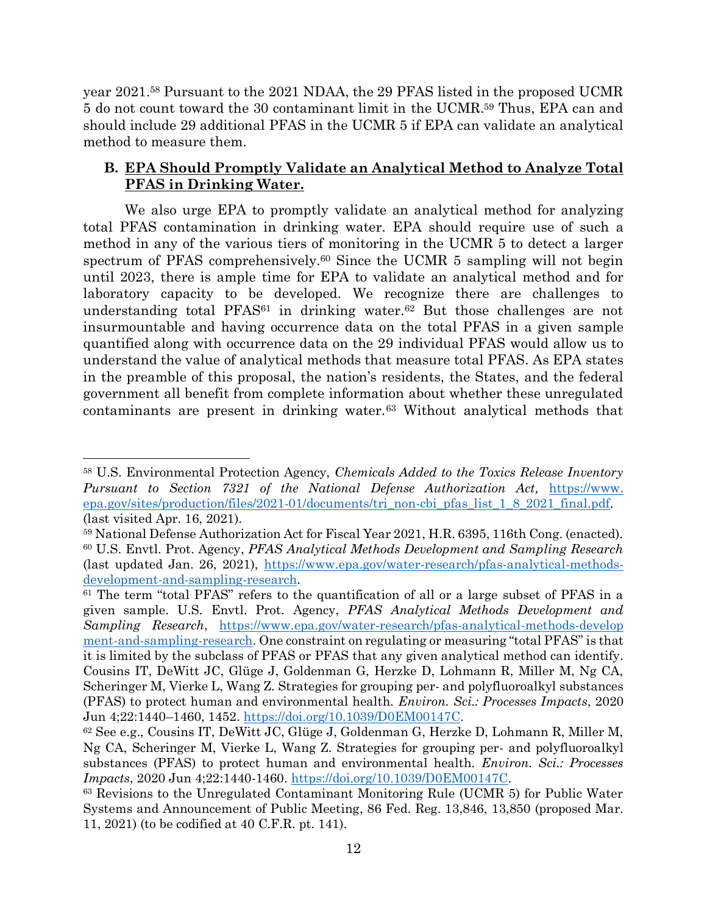year 2021. <sup>58</sup> Pursuant to the 2021 NDAA, the 29 PFAS listed in the proposed UCMR 5 do not count toward the 30 contaminant limit in the UCMR.<sup>59</sup> Thus, EPA can and should include 29 additional PFAS in the UCMR 5 if EPA can validate an analytical method to measure them.

# **B. EPA Should Promptly Validate an Analytical Method to Analyze Total PFAS in Drinking Water.**

We also urge EPA to promptly validate an analytical method for analyzing total PFAS contamination in drinking water. EPA should require use of such a method in any of the various tiers of monitoring in the UCMR 5 to detect a larger spectrum of PFAS comprehensively.<sup>60</sup> Since the UCMR 5 sampling will not begin until 2023, there is ample time for EPA to validate an analytical method and for laboratory capacity to be developed. We recognize there are challenges to understanding total PFAS<sup>61</sup> in drinking water.<sup>62</sup> But those challenges are not insurmountable and having occurrence data on the total PFAS in a given sample quantified along with occurrence data on the 29 individual PFAS would allow us to understand the value of analytical methods that measure total PFAS. As EPA states in the preamble of this proposal, the nation's residents, the States, and the federal government all benefit from complete information about whether these unregulated contaminants are present in drinking water.<sup>63</sup> Without analytical methods that

<sup>58</sup> U.S. Environmental Protection Agency, *Chemicals Added to the Toxics Release Inventory Pursuant to Section 7321 of the National Defense Authorization Act,* [https://www.](https://www.epa.gov/sites/production/files/2021-01/documents/tri_non-cbi_pfas_list_1_8_2021_final.pdf) [epa.gov/sites/production/files/2021-01/documents/tri\\_non-cbi\\_pfas\\_list\\_1\\_8\\_2021\\_final.pdf.](https://www.epa.gov/sites/production/files/2021-01/documents/tri_non-cbi_pfas_list_1_8_2021_final.pdf) (last visited Apr. 16, 2021).

<sup>59</sup> National Defense Authorization Act for Fiscal Year 2021, H.R. 6395, 116th Cong. (enacted). <sup>60</sup> U.S. Envtl. Prot. Agency, *PFAS Analytical Methods Development and Sampling Research* (last updated Jan. 26, 2021), [https://www.epa.gov/water-research/pfas-analytical-methods](https://www.epa.gov/water-research/pfas-analytical-methods-development-and-sampling-research)[development-and-sampling-research.](https://www.epa.gov/water-research/pfas-analytical-methods-development-and-sampling-research)

<sup>&</sup>lt;sup>61</sup> The term "total PFAS" refers to the quantification of all or a large subset of PFAS in a given sample. U.S. Envtl. Prot. Agency, *PFAS Analytical Methods Development and Sampling Research*, [https://www.epa.gov/water-research/pfas-analytical-methods-develop](https://www.epa.gov/water-research/pfas-analytical-methods-development-and-sampling-research) [ment-and-sampling-research](https://www.epa.gov/water-research/pfas-analytical-methods-development-and-sampling-research). One constraint on regulating or measuring "total PFAS" is that it is limited by the subclass of PFAS or PFAS that any given analytical method can identify. Cousins IT, DeWitt JC, Glüge J, Goldenman G, Herzke D, Lohmann R, Miller M, Ng CA, Scheringer M, Vierke L, Wang Z. Strategies for grouping per- and polyfluoroalkyl substances (PFAS) to protect human and environmental health. *Environ. Sci.: Processes Impacts*, 2020 Jun 4;22:1440–1460, 1452. [https://doi.org/10.1039/D0EM00147C.](https://doi.org/10.1039/D0EM00147C)

 $62$  See e.g., Cousins IT, DeWitt JC, Glüge J, Goldenman G, Herzke D, Lohmann R, Miller M, Ng CA, Scheringer M, Vierke L, Wang Z. Strategies for grouping per- and polyfluoroalkyl substances (PFAS) to protect human and environmental health. *Environ. Sci.: Processes Impacts*, 2020 Jun 4;22:1440-1460. [https://doi.org/10.1039/D0EM00147C.](https://doi.org/10.1039/D0EM00147C)

<sup>63</sup> Revisions to the Unregulated Contaminant Monitoring Rule (UCMR 5) for Public Water Systems and Announcement of Public Meeting, 86 Fed. Reg. 13,846, 13,850 (proposed Mar. 11, 2021) (to be codified at 40 C.F.R. pt. 141).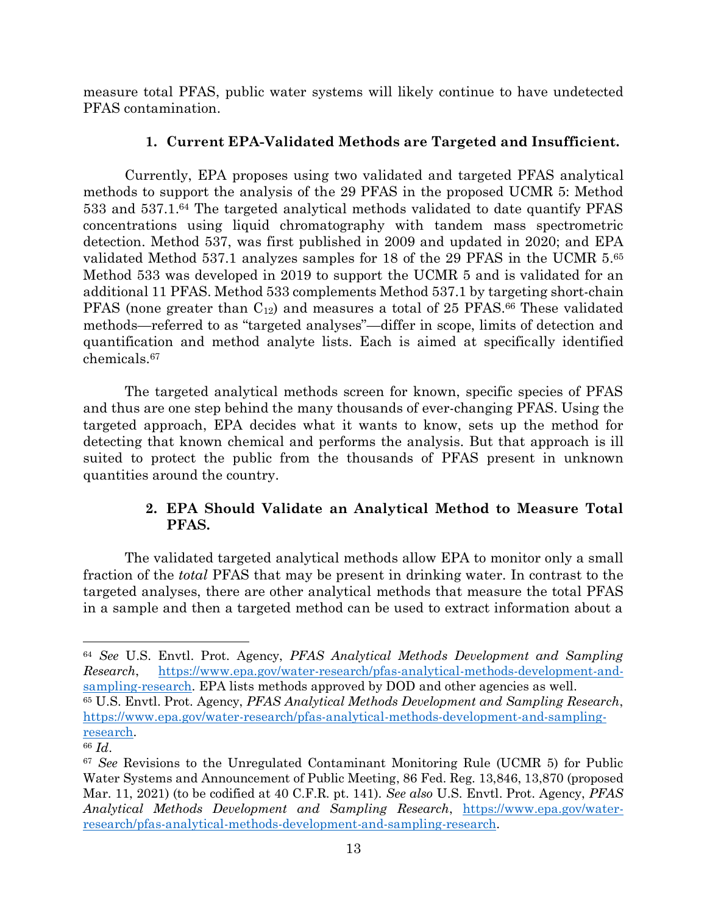measure total PFAS, public water systems will likely continue to have undetected PFAS contamination.

# **1. Current EPA-Validated Methods are Targeted and Insufficient.**

Currently, EPA proposes using two validated and targeted PFAS analytical methods to support the analysis of the 29 PFAS in the proposed UCMR 5: Method 533 and 537.1. <sup>64</sup> The targeted analytical methods validated to date quantify PFAS concentrations using liquid chromatography with tandem mass spectrometric detection. Method 537, was first published in 2009 and updated in 2020; and EPA validated Method 537.1 analyzes samples for 18 of the 29 PFAS in the UCMR 5.<sup>65</sup> Method 533 was developed in 2019 to support the UCMR 5 and is validated for an additional 11 PFAS. Method 533 complements Method 537.1 by targeting short-chain PFAS (none greater than  $C_{12}$ ) and measures a total of 25 PFAS.<sup>66</sup> These validated methods—referred to as "targeted analyses"—differ in scope, limits of detection and quantification and method analyte lists. Each is aimed at specifically identified chemicals.<sup>67</sup>

The targeted analytical methods screen for known, specific species of PFAS and thus are one step behind the many thousands of ever-changing PFAS. Using the targeted approach, EPA decides what it wants to know, sets up the method for detecting that known chemical and performs the analysis. But that approach is ill suited to protect the public from the thousands of PFAS present in unknown quantities around the country.

# **2. EPA Should Validate an Analytical Method to Measure Total PFAS.**

The validated targeted analytical methods allow EPA to monitor only a small fraction of the *total* PFAS that may be present in drinking water. In contrast to the targeted analyses, there are other analytical methods that measure the total PFAS in a sample and then a targeted method can be used to extract information about a

<sup>64</sup> *See* U.S. Envtl. Prot. Agency, *PFAS Analytical Methods Development and Sampling Research*, [https://www.epa.gov/water-research/pfas-analytical-methods-development-and](https://www.epa.gov/water-research/pfas-analytical-methods-development-and-sampling-research)[sampling-research.](https://www.epa.gov/water-research/pfas-analytical-methods-development-and-sampling-research) EPA lists methods approved by DOD and other agencies as well.

<sup>65</sup> U.S. Envtl. Prot. Agency, *PFAS Analytical Methods Development and Sampling Research*, [https://www.epa.gov/water-research/pfas-analytical-methods-development-and-sampling](https://www.epa.gov/water-research/pfas-analytical-methods-development-and-sampling-research)[research.](https://www.epa.gov/water-research/pfas-analytical-methods-development-and-sampling-research)

<sup>66</sup> *Id*.

<sup>67</sup> *See* Revisions to the Unregulated Contaminant Monitoring Rule (UCMR 5) for Public Water Systems and Announcement of Public Meeting, 86 Fed. Reg. 13,846, 13,870 (proposed Mar. 11, 2021) (to be codified at 40 C.F.R. pt. 141). *See also* U.S. Envtl. Prot. Agency, *PFAS Analytical Methods Development and Sampling Research*, [https://www.epa.gov/water](https://www.epa.gov/water-research/pfas-analytical-methods-development-and-sampling-research)[research/pfas-analytical-methods-development-and-sampling-research.](https://www.epa.gov/water-research/pfas-analytical-methods-development-and-sampling-research)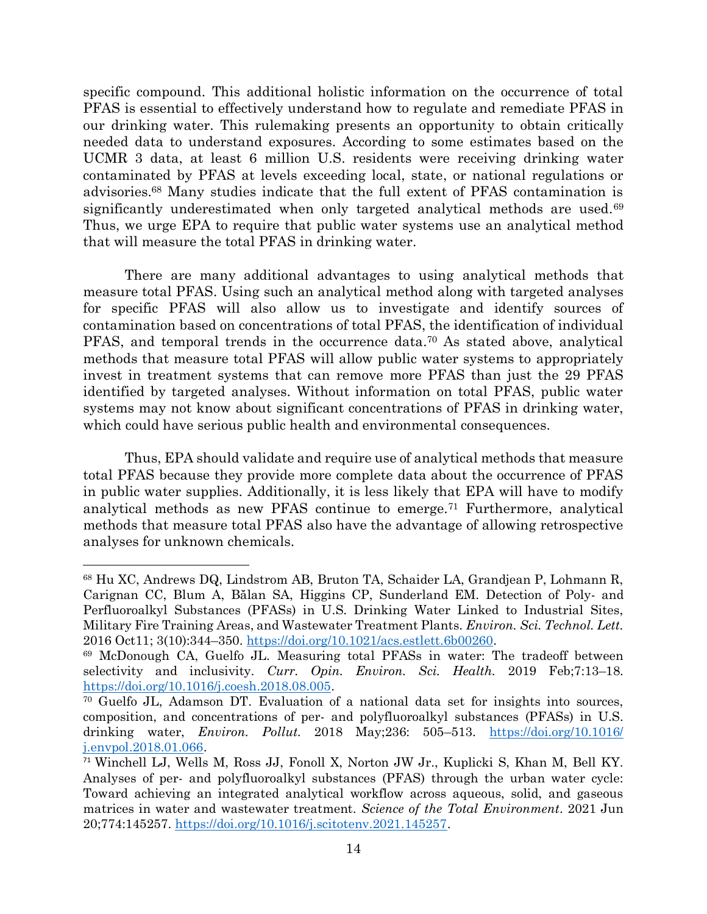specific compound. This additional holistic information on the occurrence of total PFAS is essential to effectively understand how to regulate and remediate PFAS in our drinking water. This rulemaking presents an opportunity to obtain critically needed data to understand exposures. According to some estimates based on the UCMR 3 data, at least 6 million U.S. residents were receiving drinking water contaminated by PFAS at levels exceeding local, state, or national regulations or advisories.<sup>68</sup> Many studies indicate that the full extent of PFAS contamination is significantly underestimated when only targeted analytical methods are used.<sup>69</sup> Thus, we urge EPA to require that public water systems use an analytical method that will measure the total PFAS in drinking water.

There are many additional advantages to using analytical methods that measure total PFAS. Using such an analytical method along with targeted analyses for specific PFAS will also allow us to investigate and identify sources of contamination based on concentrations of total PFAS, the identification of individual PFAS, and temporal trends in the occurrence data. <sup>70</sup> As stated above, analytical methods that measure total PFAS will allow public water systems to appropriately invest in treatment systems that can remove more PFAS than just the 29 PFAS identified by targeted analyses. Without information on total PFAS, public water systems may not know about significant concentrations of PFAS in drinking water, which could have serious public health and environmental consequences.

Thus, EPA should validate and require use of analytical methods that measure total PFAS because they provide more complete data about the occurrence of PFAS in public water supplies. Additionally, it is less likely that EPA will have to modify analytical methods as new PFAS continue to emerge.<sup>71</sup> Furthermore, analytical methods that measure total PFAS also have the advantage of allowing retrospective analyses for unknown chemicals.

<sup>68</sup> Hu XC, Andrews DQ, Lindstrom AB, Bruton TA, Schaider LA, Grandjean P, Lohmann R, Carignan CC, Blum A, Bălan SA, Higgins CP, Sunderland EM. Detection of Poly- and Perfluoroalkyl Substances (PFASs) in U.S. Drinking Water Linked to Industrial Sites, Military Fire Training Areas, and Wastewater Treatment Plants. *Environ. Sci. Technol. Lett.* 2016 Oct11; 3(10):344–350. [https://doi.org/10.1021/acs.estlett.6b00260.](https://doi.org/10.1021/acs.estlett.6b00260)

<sup>69</sup> McDonough CA, Guelfo JL. Measuring total PFASs in water: The tradeoff between selectivity and inclusivity. *Curr. Opin. Environ. Sci. Health.* 2019 Feb;7:13–18. [https://doi.org/10.1016/j.coesh.2018.08.005.](https://doi.org/10.1016/j.coesh.2018.08.005)

<sup>70</sup> Guelfo JL, Adamson DT. Evaluation of a national data set for insights into sources, composition, and concentrations of per- and polyfluoroalkyl substances (PFASs) in U.S. drinking water, *Environ. Pollut.* 2018 May;236: 505–513. [https://doi.org/10.1016/](https://doi.org/10.1016/j.envpol.2018.01.066) [j.envpol.2018.01.066.](https://doi.org/10.1016/j.envpol.2018.01.066)

<sup>71</sup> Winchell LJ, Wells M, Ross JJ, Fonoll X, Norton JW Jr., Kuplicki S, Khan M, Bell KY. Analyses of per- and polyfluoroalkyl substances (PFAS) through the urban water cycle: Toward achieving an integrated analytical workflow across aqueous, solid, and gaseous matrices in water and wastewater treatment. *Science of the Total Environment*. 2021 Jun 20;774:145257. [https://doi.org/10.1016/j.scitotenv.2021.145257.](https://doi.org/10.1016/j.scitotenv.2021.145257)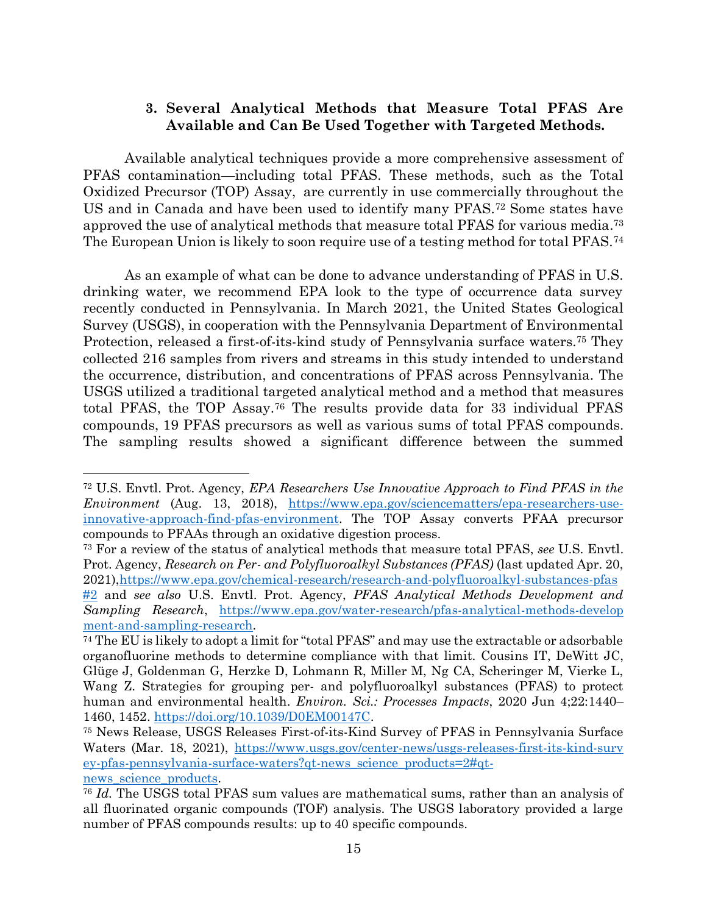## **3. Several Analytical Methods that Measure Total PFAS Are Available and Can Be Used Together with Targeted Methods.**

Available analytical techniques provide a more comprehensive assessment of PFAS contamination—including total PFAS. These methods, such as the Total Oxidized Precursor (TOP) Assay, are currently in use commercially throughout the US and in Canada and have been used to identify many PFAS.<sup>72</sup> Some states have approved the use of analytical methods that measure total PFAS for various media. 73 The European Union is likely to soon require use of a testing method for total PFAS.<sup>74</sup>

As an example of what can be done to advance understanding of PFAS in U.S. drinking water, we recommend EPA look to the type of occurrence data survey recently conducted in Pennsylvania. In March 2021, the United States Geological Survey (USGS), in cooperation with the Pennsylvania Department of Environmental Protection, released a first-of-its-kind study of Pennsylvania surface waters.<sup>75</sup> They collected 216 samples from rivers and streams in this study intended to understand the occurrence, distribution, and concentrations of PFAS across Pennsylvania. The USGS utilized a traditional targeted analytical method and a method that measures total PFAS, the TOP Assay. <sup>76</sup> The results provide data for 33 individual PFAS compounds, 19 PFAS precursors as well as various sums of total PFAS compounds. The sampling results showed a significant difference between the summed

<sup>72</sup> U.S. Envtl. Prot. Agency, *EPA Researchers Use Innovative Approach to Find PFAS in the Environment* (Aug. 13, 2018), [https://www.epa.gov/sciencematters/epa-researchers-use](https://www.epa.gov/sciencematters/epa-researchers-use-innovative-approach-find-pfas-environment)[innovative-approach-find-pfas-environment.](https://www.epa.gov/sciencematters/epa-researchers-use-innovative-approach-find-pfas-environment) The TOP Assay converts PFAA precursor compounds to PFAAs through an oxidative digestion process.

<sup>73</sup> For a review of the status of analytical methods that measure total PFAS, *see* U.S. Envtl. Prot. Agency, *Research on Per- and Polyfluoroalkyl Substances (PFAS)* (last updated Apr. 20, 2021)[,https://www.epa.gov/chemical-research/research-and-polyfluoroalkyl-substances-pfas](https://www.epa.gov/chemical-research/research-and-polyfluoroalkyl-substances-pfas#2) [#2](https://www.epa.gov/chemical-research/research-and-polyfluoroalkyl-substances-pfas#2) and *see also* U.S. Envtl. Prot. Agency, *PFAS Analytical Methods Development and Sampling Research*, [https://www.epa.gov/water-research/pfas-analytical-methods-develop](https://www.epa.gov/water-research/pfas-analytical-methods-development-and-sampling-research) [ment-and-sampling-research.](https://www.epa.gov/water-research/pfas-analytical-methods-development-and-sampling-research)

<sup>74</sup> The EU is likely to adopt a limit for "total PFAS" and may use the extractable or adsorbable organofluorine methods to determine compliance with that limit. Cousins IT, DeWitt JC, Glüge J, Goldenman G, Herzke D, Lohmann R, Miller M, Ng CA, Scheringer M, Vierke L, Wang Z. Strategies for grouping per- and polyfluoroalkyl substances (PFAS) to protect human and environmental health. *Environ. Sci.: Processes Impacts*, 2020 Jun 4;22:1440– 1460, 1452. [https://doi.org/10.1039/D0EM00147C.](https://doi.org/10.1039/D0EM00147C)

<sup>75</sup> News Release, USGS Releases First-of-its-Kind Survey of PFAS in Pennsylvania Surface Waters (Mar. 18, 2021), [https://www.usgs.gov/center-news/usgs-releases-first-its-kind-surv](https://www.usgs.gov/center-news/usgs-releases-first-its-kind-survey-pfas-pennsylvania-surface-waters?qt-news_science_products=2#qt-news_science_products) [ey-pfas-pennsylvania-surface-waters?qt-news\\_science\\_products=2#qt](https://www.usgs.gov/center-news/usgs-releases-first-its-kind-survey-pfas-pennsylvania-surface-waters?qt-news_science_products=2#qt-news_science_products)[news\\_science\\_products.](https://www.usgs.gov/center-news/usgs-releases-first-its-kind-survey-pfas-pennsylvania-surface-waters?qt-news_science_products=2#qt-news_science_products)

<sup>76</sup> *Id.* The USGS total PFAS sum values are mathematical sums, rather than an analysis of all fluorinated organic compounds (TOF) analysis. The USGS laboratory provided a large number of PFAS compounds results: up to 40 specific compounds.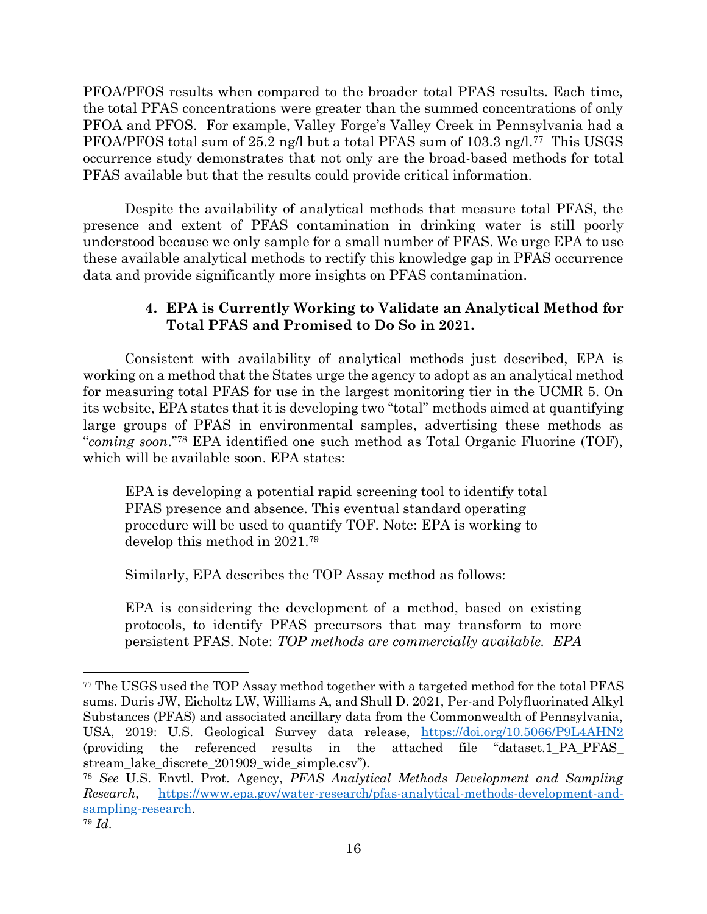PFOA/PFOS results when compared to the broader total PFAS results. Each time, the total PFAS concentrations were greater than the summed concentrations of only PFOA and PFOS. For example, Valley Forge's Valley Creek in Pennsylvania had a PFOA/PFOS total sum of 25.2 ng/l but a total PFAS sum of 103.3 ng/l.77 This USGS occurrence study demonstrates that not only are the broad-based methods for total PFAS available but that the results could provide critical information.

Despite the availability of analytical methods that measure total PFAS, the presence and extent of PFAS contamination in drinking water is still poorly understood because we only sample for a small number of PFAS. We urge EPA to use these available analytical methods to rectify this knowledge gap in PFAS occurrence data and provide significantly more insights on PFAS contamination.

# **4. EPA is Currently Working to Validate an Analytical Method for Total PFAS and Promised to Do So in 2021.**

Consistent with availability of analytical methods just described, EPA is working on a method that the States urge the agency to adopt as an analytical method for measuring total PFAS for use in the largest monitoring tier in the UCMR 5. On its website, EPA states that it is developing two "total" methods aimed at quantifying large groups of PFAS in environmental samples, advertising these methods as "*coming soon*." <sup>78</sup> EPA identified one such method as Total Organic Fluorine (TOF), which will be available soon. EPA states:

EPA is developing a potential rapid screening tool to identify total PFAS presence and absence. This eventual standard operating procedure will be used to quantify TOF. Note: EPA is working to develop this method in 2021.<sup>79</sup>

Similarly, EPA describes the TOP Assay method as follows:

EPA is considering the development of a method, based on existing protocols, to identify PFAS precursors that may transform to more persistent PFAS. Note: *TOP methods are commercially available. EPA* 

<sup>77</sup> The USGS used the TOP Assay method together with a targeted method for the total PFAS sums. Duris JW, Eicholtz LW, Williams A, and Shull D. 2021, Per-and Polyfluorinated Alkyl Substances (PFAS) and associated ancillary data from the Commonwealth of Pennsylvania, USA, 2019: U.S. Geological Survey data release, <https://doi.org/10.5066/P9L4AHN2> (providing the referenced results in the attached file "dataset.1\_PA\_PFAS\_ stream\_lake\_discrete\_201909\_wide\_simple.csv").

<sup>78</sup> *See* U.S. Envtl. Prot. Agency, *PFAS Analytical Methods Development and Sampling Research*, [https://www.epa.gov/water-research/pfas-analytical-methods-development-and](https://www.epa.gov/water-research/pfas-analytical-methods-development-and-sampling-research)[sampling-research.](https://www.epa.gov/water-research/pfas-analytical-methods-development-and-sampling-research)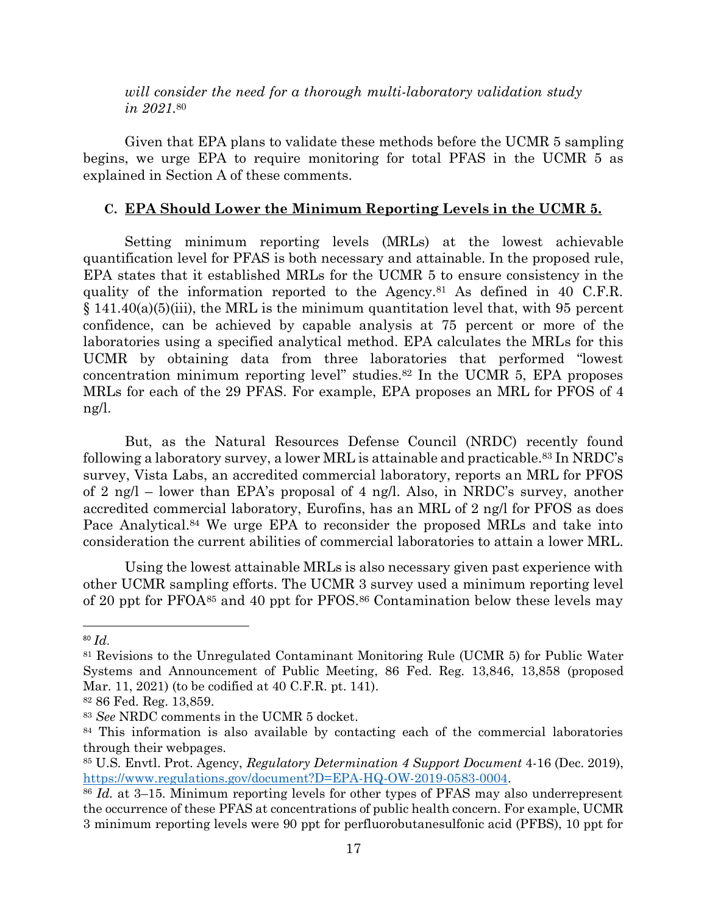*will consider the need for a thorough multi-laboratory validation study in 2021.*<sup>80</sup>

Given that EPA plans to validate these methods before the UCMR 5 sampling begins, we urge EPA to require monitoring for total PFAS in the UCMR 5 as explained in Section A of these comments.

## **C. EPA Should Lower the Minimum Reporting Levels in the UCMR 5.**

Setting minimum reporting levels (MRLs) at the lowest achievable quantification level for PFAS is both necessary and attainable. In the proposed rule, EPA states that it established MRLs for the UCMR 5 to ensure consistency in the quality of the information reported to the Agency.<sup>81</sup> As defined in 40 C.F.R.  $\S$  141.40(a)(5)(iii), the MRL is the minimum quantitation level that, with 95 percent confidence, can be achieved by capable analysis at 75 percent or more of the laboratories using a specified analytical method. EPA calculates the MRLs for this UCMR by obtaining data from three laboratories that performed "lowest concentration minimum reporting level" studies. $82$  In the UCMR 5, EPA proposes MRLs for each of the 29 PFAS. For example, EPA proposes an MRL for PFOS of 4 ng/l.

But, as the Natural Resources Defense Council (NRDC) recently found following a laboratory survey, a lower MRL is attainable and practicable.<sup>83</sup> In NRDC's survey, Vista Labs, an accredited commercial laboratory, reports an MRL for PFOS of 2 ng/l – lower than EPA's proposal of 4 ng/l. Also, in NRDC's survey, another accredited commercial laboratory, Eurofins, has an MRL of 2 ng/l for PFOS as does Pace Analytical.<sup>84</sup> We urge EPA to reconsider the proposed MRLs and take into consideration the current abilities of commercial laboratories to attain a lower MRL.

Using the lowest attainable MRLs is also necessary given past experience with other UCMR sampling efforts. The UCMR 3 survey used a minimum reporting level of 20 ppt for PFOA<sup>85</sup> and 40 ppt for PFOS.<sup>86</sup> Contamination below these levels may

<sup>80</sup> *Id*.

<sup>81</sup> Revisions to the Unregulated Contaminant Monitoring Rule (UCMR 5) for Public Water Systems and Announcement of Public Meeting, 86 Fed. Reg. 13,846, 13,858 (proposed Mar. 11, 2021) (to be codified at 40 C.F.R. pt. 141).

<sup>82</sup> 86 Fed. Reg. 13,859.

<sup>83</sup> *See* NRDC comments in the UCMR 5 docket.

<sup>&</sup>lt;sup>84</sup> This information is also available by contacting each of the commercial laboratories through their webpages.

<sup>85</sup> U.S. Envtl. Prot. Agency, *Regulatory Determination 4 Support Document* 4-16 (Dec. 2019), [https://www.regulations.gov/document?D=EPA-HQ-OW-2019-0583-0004.](https://www.regulations.gov/document?D=EPA-HQ-OW-2019-0583-0004)

<sup>86</sup> *Id.* at 3–15. Minimum reporting levels for other types of PFAS may also underrepresent the occurrence of these PFAS at concentrations of public health concern. For example, UCMR 3 minimum reporting levels were 90 ppt for perfluorobutanesulfonic acid (PFBS), 10 ppt for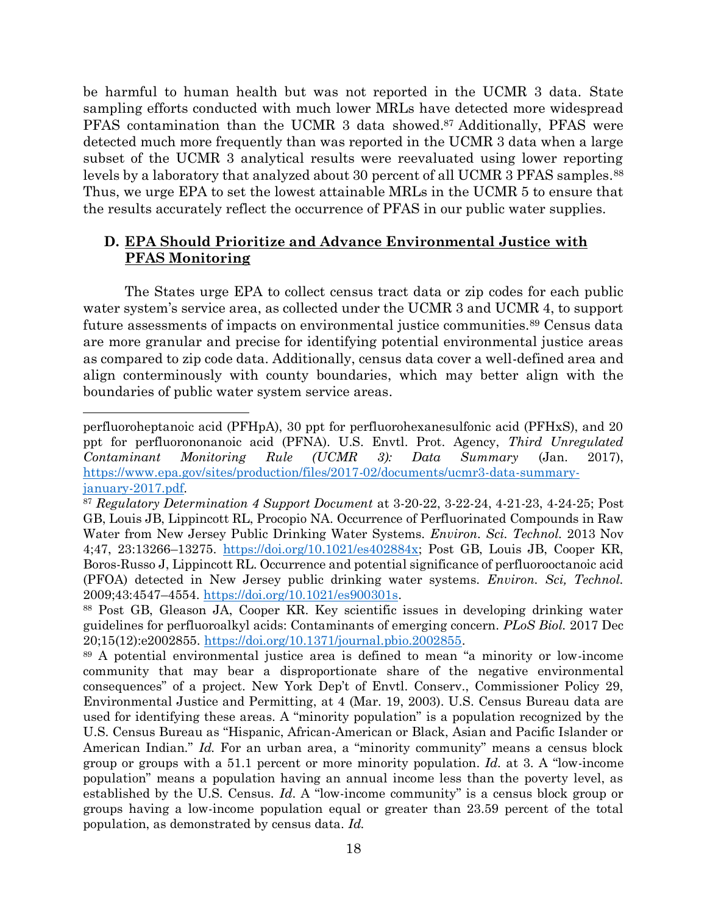be harmful to human health but was not reported in the UCMR 3 data. State sampling efforts conducted with much lower MRLs have detected more widespread PFAS contamination than the UCMR 3 data showed. <sup>87</sup> Additionally, PFAS were detected much more frequently than was reported in the UCMR 3 data when a large subset of the UCMR 3 analytical results were reevaluated using lower reporting levels by a laboratory that analyzed about 30 percent of all UCMR 3 PFAS samples.<sup>88</sup> Thus, we urge EPA to set the lowest attainable MRLs in the UCMR 5 to ensure that the results accurately reflect the occurrence of PFAS in our public water supplies.

# **D. EPA Should Prioritize and Advance Environmental Justice with PFAS Monitoring**

The States urge EPA to collect census tract data or zip codes for each public water system's service area, as collected under the UCMR 3 and UCMR 4, to support future assessments of impacts on environmental justice communities.<sup>89</sup> Census data are more granular and precise for identifying potential environmental justice areas as compared to zip code data. Additionally, census data cover a well-defined area and align conterminously with county boundaries, which may better align with the boundaries of public water system service areas.

perfluoroheptanoic acid (PFHpA), 30 ppt for perfluorohexanesulfonic acid (PFHxS), and 20 ppt for perfluorononanoic acid (PFNA). U.S. Envtl. Prot. Agency, *Third Unregulated Contaminant Monitoring Rule (UCMR 3): Data Summary* (Jan. 2017), [https://www.epa.gov/sites/production/files/2017-02/documents/ucmr3-data-summary](https://www.epa.gov/sites/production/files/2017-02/documents/ucmr3-data-summary-january-2017.pdf)[january-2017.pdf.](https://www.epa.gov/sites/production/files/2017-02/documents/ucmr3-data-summary-january-2017.pdf)

<sup>87</sup> *Regulatory Determination 4 Support Document* at 3-20-22, 3-22-24, 4-21-23, 4-24-25; Post GB, Louis JB, Lippincott RL, Procopio NA. Occurrence of Perfluorinated Compounds in Raw Water from New Jersey Public Drinking Water Systems. *Environ. Sci. Technol.* 2013 Nov 4;47, 23:13266–13275. [https://doi.org/10.1021/es402884x;](https://doi.org/10.1021/es402884x) Post GB, Louis JB, Cooper KR, Boros-Russo J, Lippincott RL. Occurrence and potential significance of perfluorooctanoic acid (PFOA) detected in New Jersey public drinking water systems. *Environ. Sci, Technol.* 2009;43:4547–4554. [https://doi.org/10.1021/es900301s.](https://doi.org/10.1021/es900301s)

<sup>88</sup> Post GB, Gleason JA, Cooper KR. Key scientific issues in developing drinking water guidelines for perfluoroalkyl acids: Contaminants of emerging concern*. PLoS Biol.* 2017 Dec 20;15(12):e2002855. [https://doi.org/10.1371/journal.pbio.2002855.](https://doi.org/10.1371/journal.pbio.2002855)

<sup>89</sup> A potential environmental justice area is defined to mean "a minority or low-income community that may bear a disproportionate share of the negative environmental consequences" of a project. New York Dep't of Envtl. Conserv., Commissioner Policy 29, Environmental Justice and Permitting, at 4 (Mar. 19, 2003). U.S. Census Bureau data are used for identifying these areas. A "minority population" is a population recognized by the U.S. Census Bureau as "Hispanic, African-American or Black, Asian and Pacific Islander or American Indian." *Id.* For an urban area, a "minority community" means a census block group or groups with a 51.1 percent or more minority population. *Id.* at 3. A "low-income population" means a population having an annual income less than the poverty level, as established by the U.S. Census. *Id*. A "low-income community" is a census block group or groups having a low-income population equal or greater than 23.59 percent of the total population, as demonstrated by census data. *Id.*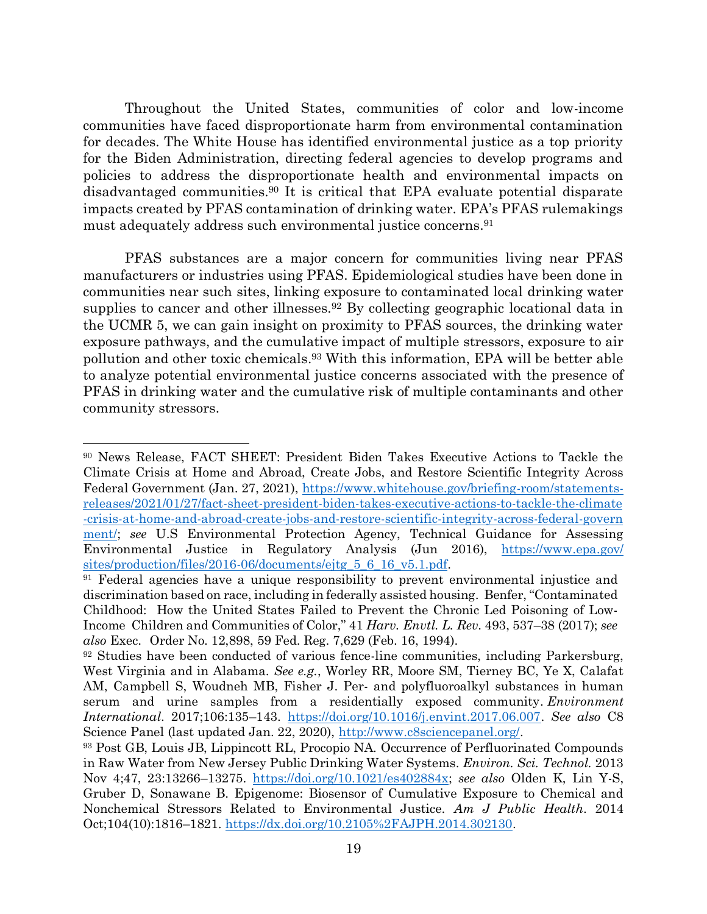Throughout the United States, communities of color and low-income communities have faced disproportionate harm from environmental contamination for decades. The White House has identified environmental justice as a top priority for the Biden Administration, directing federal agencies to develop programs and policies to address the disproportionate health and environmental impacts on disadvantaged communities.<sup>90</sup> It is critical that EPA evaluate potential disparate impacts created by PFAS contamination of drinking water. EPA's PFAS rulemakings must adequately address such environmental justice concerns.<sup>91</sup>

PFAS substances are a major concern for communities living near PFAS manufacturers or industries using PFAS. Epidemiological studies have been done in communities near such sites, linking exposure to contaminated local drinking water supplies to cancer and other illnesses.<sup>92</sup> By collecting geographic locational data in the UCMR 5, we can gain insight on proximity to PFAS sources, the drinking water exposure pathways, and the cumulative impact of multiple stressors, exposure to air pollution and other toxic chemicals. <sup>93</sup> With this information, EPA will be better able to analyze potential environmental justice concerns associated with the presence of PFAS in drinking water and the cumulative risk of multiple contaminants and other community stressors.

<sup>90</sup> News Release, FACT SHEET: President Biden Takes Executive Actions to Tackle the Climate Crisis at Home and Abroad, Create Jobs, and Restore Scientific Integrity Across Federal Government (Jan. 27, 2021), [https://www.whitehouse.gov/briefing-room/statements](https://www.whitehouse.gov/briefing-room/statements-releases/2021/01/27/fact-sheet-president-biden-takes-executive-actions-to-tackle-the-climate-crisis-at-home-and-abroad-create-jobs-and-restore-scientific-integrity-across-federal-government/)[releases/2021/01/27/fact-sheet-president-biden-takes-executive-actions-to-tackle-the-climate](https://www.whitehouse.gov/briefing-room/statements-releases/2021/01/27/fact-sheet-president-biden-takes-executive-actions-to-tackle-the-climate-crisis-at-home-and-abroad-create-jobs-and-restore-scientific-integrity-across-federal-government/) [-crisis-at-home-and-abroad-create-jobs-and-restore-scientific-integrity-across-federal-govern](https://www.whitehouse.gov/briefing-room/statements-releases/2021/01/27/fact-sheet-president-biden-takes-executive-actions-to-tackle-the-climate-crisis-at-home-and-abroad-create-jobs-and-restore-scientific-integrity-across-federal-government/) [ment/;](https://www.whitehouse.gov/briefing-room/statements-releases/2021/01/27/fact-sheet-president-biden-takes-executive-actions-to-tackle-the-climate-crisis-at-home-and-abroad-create-jobs-and-restore-scientific-integrity-across-federal-government/) *see* U.S Environmental Protection Agency, Technical Guidance for Assessing Environmental Justice in Regulatory Analysis (Jun 2016), [https://www.epa.gov/](https://www.epa.gov/sites/production/files/2016-06/documents/ejtg_5_6_16_v5.1.pdf) [sites/production/files/2016-06/documents/ejtg\\_5\\_6\\_16\\_v5.1.pdf.](https://www.epa.gov/sites/production/files/2016-06/documents/ejtg_5_6_16_v5.1.pdf)

<sup>&</sup>lt;sup>91</sup> Federal agencies have a unique responsibility to prevent environmental injustice and discrimination based on race, including in federally assisted housing. Benfer, "Contaminated Childhood: How the United States Failed to Prevent the Chronic Led Poisoning of Low-Income Children and Communities of Color," 41 *Harv. Envtl. L. Rev.* 493, 537–38 (2017); *see also* Exec. Order No. 12,898, 59 Fed. Reg. 7,629 (Feb. 16, 1994).

<sup>92</sup> Studies have been conducted of various fence-line communities, including Parkersburg, West Virginia and in Alabama. *See e.g.*, Worley RR, Moore SM, Tierney BC, Ye X, Calafat AM, Campbell S, Woudneh MB, Fisher J. Per- and polyfluoroalkyl substances in human serum and urine samples from a residentially exposed community. *Environment International*. 2017;106:135–143. [https://doi.org/10.1016/j.envint.2017.06.007.](https://doi.org/10.1016/j.envint.2017.06.007) *See also* C8 Science Panel (last updated Jan. 22, 2020), [http://www.c8sciencepanel.org/.](http://www.c8sciencepanel.org/)

<sup>93</sup> Post GB, Louis JB, Lippincott RL, Procopio NA. Occurrence of Perfluorinated Compounds in Raw Water from New Jersey Public Drinking Water Systems. *Environ. Sci. Technol.* 2013 Nov 4;47, 23:13266–13275. [https://doi.org/10.1021/es402884x;](https://doi.org/10.1021/es402884x) *see also* Olden K, Lin Y-S, Gruber D, Sonawane B. Epigenome: Biosensor of Cumulative Exposure to Chemical and Nonchemical Stressors Related to Environmental Justice. *Am J Public Health*. 2014 Oct;104(10):1816–1821. [https://dx.doi.org/10.2105%2FAJPH.2014.302130.](https://dx.doi.org/10.2105%2FAJPH.2014.302130)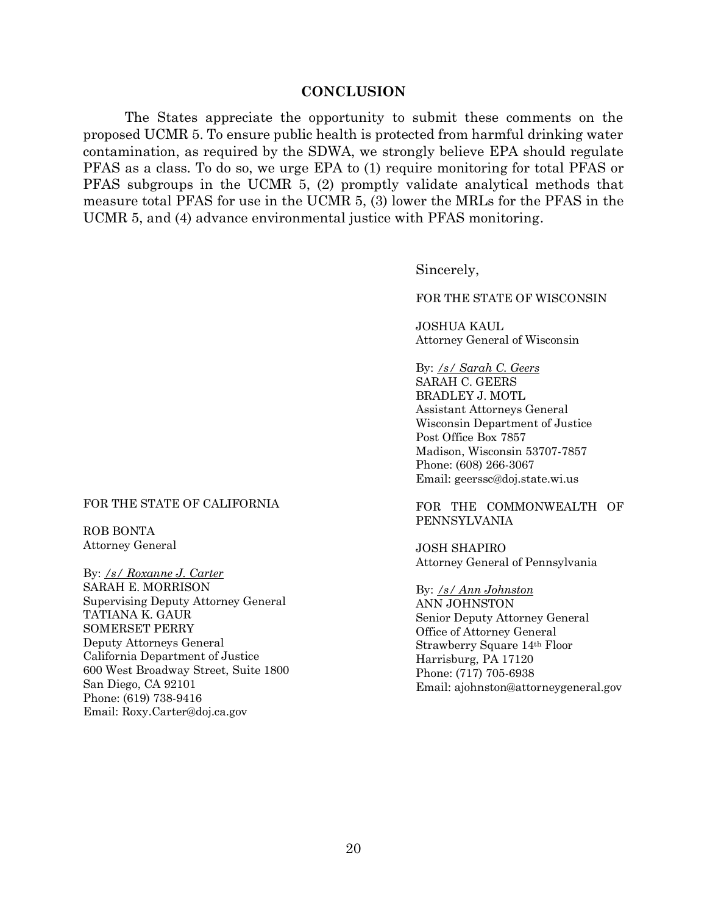### **CONCLUSION**

The States appreciate the opportunity to submit these comments on the proposed UCMR 5. To ensure public health is protected from harmful drinking water contamination, as required by the SDWA, we strongly believe EPA should regulate PFAS as a class. To do so, we urge EPA to (1) require monitoring for total PFAS or PFAS subgroups in the UCMR 5, (2) promptly validate analytical methods that measure total PFAS for use in the UCMR 5, (3) lower the MRLs for the PFAS in the UCMR 5, and (4) advance environmental justice with PFAS monitoring.

Sincerely,

FOR THE STATE OF WISCONSIN

JOSHUA KAUL Attorney General of Wisconsin

By: */s/ Sarah C. Geers*

SARAH C. GEERS BRADLEY J. MOTL Assistant Attorneys General Wisconsin Department of Justice Post Office Box 7857 Madison, Wisconsin 53707-7857 Phone: (608) 266-3067 Email: geerssc@doj.state.wi.us

FOR THE COMMONWEALTH OF PENNSYLVANIA

JOSH SHAPIRO Attorney General of Pennsylvania

By: */s/ Ann Johnston* ANN JOHNSTON Senior Deputy Attorney General Office of Attorney General Strawberry Square 14th Floor Harrisburg, PA 17120 Phone: (717) 705-6938 Email: ajohnston@attorneygeneral.gov

#### FOR THE STATE OF CALIFORNIA

ROB BONTA Attorney General

By: */s/ Roxanne J. Carter* SARAH E. MORRISON Supervising Deputy Attorney General TATIANA K. GAUR SOMERSET PERRY Deputy Attorneys General California Department of Justice 600 West Broadway Street, Suite 1800 San Diego, CA 92101 Phone: (619) 738-9416 Email: Roxy.Carter@doj.ca.gov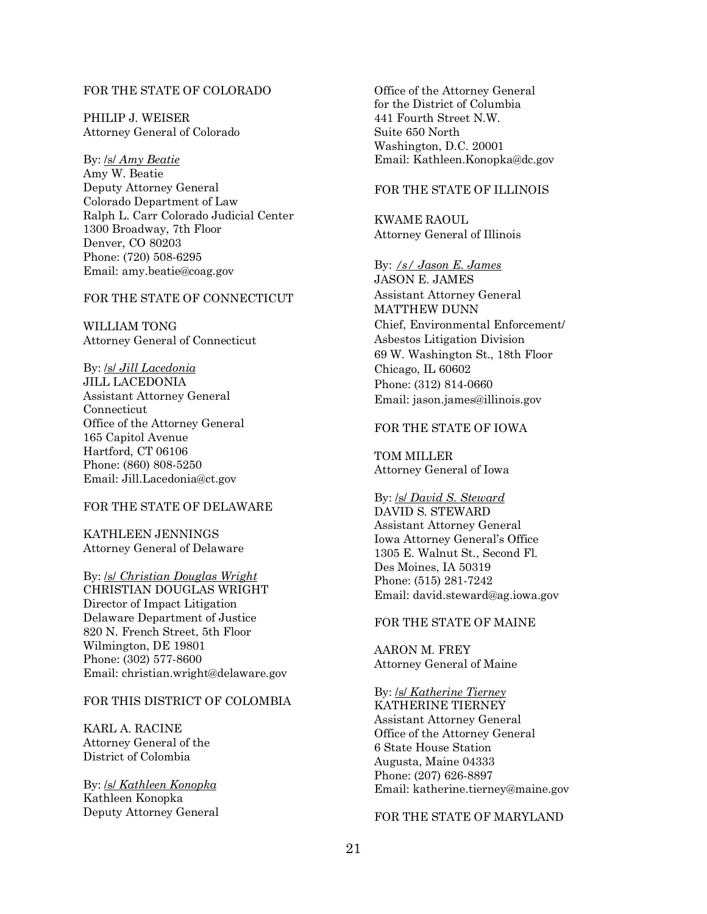### FOR THE STATE OF COLORADO

PHILIP J. WEISER Attorney General of Colorado

By: /s/ *Amy Beatie* Amy W. Beatie Deputy Attorney General Colorado Department of Law Ralph L. Carr Colorado Judicial Center 1300 Broadway, 7th Floor Denver, CO 80203 Phone: (720) 508-6295 Email: amy.beatie@coag.gov

#### FOR THE STATE OF CONNECTICUT

WILLIAM TONG Attorney General of Connecticut

By: /s/ *Jill Lacedonia* JILL LACEDONIA Assistant Attorney General Connecticut Office of the Attorney General 165 Capitol Avenue Hartford, CT 06106 Phone: (860) 808-5250 Email: Jill.Lacedonia@ct.gov

#### FOR THE STATE OF DELAWARE

KATHLEEN JENNINGS Attorney General of Delaware

By: /s/ *Christian Douglas Wright* CHRISTIAN DOUGLAS WRIGHT Director of Impact Litigation Delaware Department of Justice 820 N. French Street, 5th Floor Wilmington, DE 19801 Phone: (302) 577-8600 Email: christian.wright@delaware.gov

#### FOR THIS DISTRICT OF COLOMBIA

KARL A. RACINE Attorney General of the District of Colombia

By: /s/ *Kathleen Konopka* Kathleen Konopka Deputy Attorney General Office of the Attorney General for the District of Columbia 441 Fourth Street N.W. Suite 650 North Washington, D.C. 20001 Email: Kathleen.Konopka@dc.gov

### FOR THE STATE OF ILLINOIS

KWAME RAOUL Attorney General of Illinois

By: */s/ Jason E. James*

JASON E. JAMES Assistant Attorney General MATTHEW DUNN Chief, Environmental Enforcement/ Asbestos Litigation Division 69 W. Washington St., 18th Floor Chicago, IL 60602 Phone: (312) 814-0660 Email: jason.james@illinois.gov

### FOR THE STATE OF IOWA

TOM MILLER Attorney General of Iowa

By: /s/ *David S. Steward* DAVID S. STEWARD Assistant Attorney General Iowa Attorney General's Office 1305 E. Walnut St., Second Fl. Des Moines, IA 50319 Phone: (515) 281-7242 Email: david.steward@ag.iowa.gov

### FOR THE STATE OF MAINE

AARON M. FREY Attorney General of Maine

By: /s/ *Katherine Tierney* KATHERINE TIERNEY Assistant Attorney General Office of the Attorney General 6 State House Station Augusta, Maine 04333 Phone: (207) 626-8897 Email: katherine.tierney@maine.gov

#### FOR THE STATE OF MARYLAND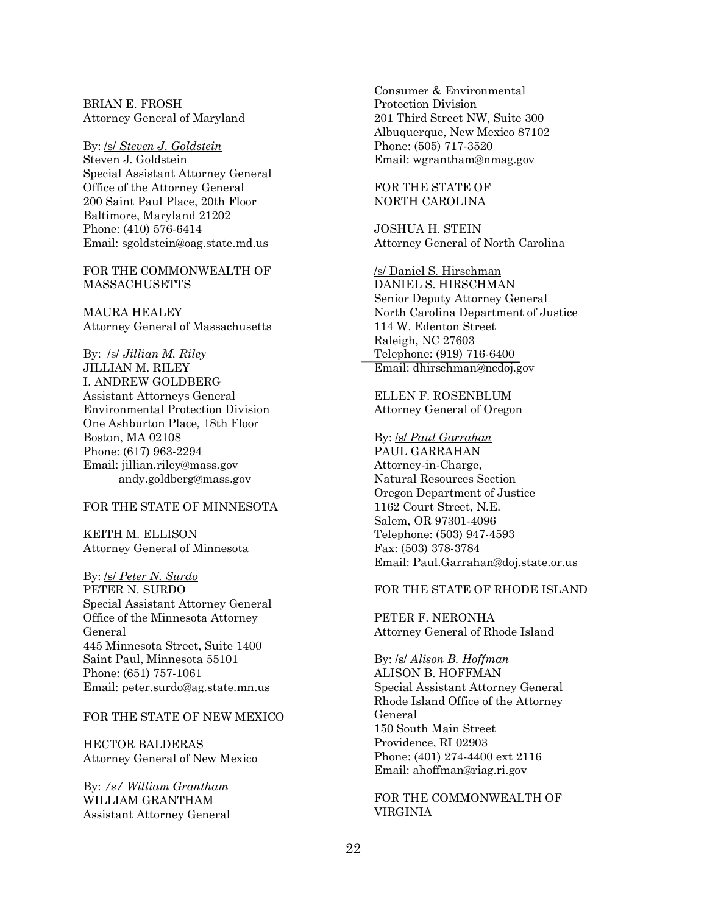BRIAN E. FROSH Attorney General of Maryland

By: /s/ *Steven J. Goldstein* Steven J. Goldstein Special Assistant Attorney General Office of the Attorney General 200 Saint Paul Place, 20th Floor Baltimore, Maryland 21202 Phone: (410) 576-6414 Email: sgoldstein@oag.state.md.us

FOR THE COMMONWEALTH OF MASSACHUSETTS

MAURA HEALEY Attorney General of Massachusetts

By: /s/ *Jillian M. Riley* JILLIAN M. RILEY I. ANDREW GOLDBERG Assistant Attorneys General Environmental Protection Division One Ashburton Place, 18th Floor Boston, MA 02108 Phone: (617) 963-2294 Email: jillian.riley@mass.gov andy.goldberg@mass.gov

#### FOR THE STATE OF MINNESOTA

KEITH M. ELLISON Attorney General of Minnesota

By: /s/ *Peter N. Surdo* PETER N. SURDO Special Assistant Attorney General Office of the Minnesota Attorney General 445 Minnesota Street, Suite 1400 Saint Paul, Minnesota 55101 Phone: (651) 757-1061 Email: peter.surdo@ag.state.mn.us

#### FOR THE STATE OF NEW MEXICO

HECTOR BALDERAS Attorney General of New Mexico

By: */s/ William Grantham* WILLIAM GRANTHAM Assistant Attorney General Consumer & Environmental Protection Division 201 Third Street NW, Suite 300 Albuquerque, New Mexico 87102 Phone: (505) 717-3520 Email: wgrantham@nmag.gov

#### FOR THE STATE OF NORTH CAROLINA

JOSHUA H. STEIN Attorney General of North Carolina

/s/ Daniel S. Hirschman DANIEL S. HIRSCHMAN Senior Deputy Attorney General North Carolina Department of Justice 114 W. Edenton Street Raleigh, NC 27603 Telephone: (919) 716-6400 Email: dhirschman@ncdoj.gov

ELLEN F. ROSENBLUM Attorney General of Oregon

By: /s/ *Paul Garrahan* PAUL GARRAHAN Attorney-in-Charge, Natural Resources Section Oregon Department of Justice 1162 Court Street, N.E. Salem, OR 97301-4096 Telephone: (503) 947-4593 Fax: (503) 378-3784 Email: Paul.Garrahan@doj.state.or.us

#### FOR THE STATE OF RHODE ISLAND

PETER F. NERONHA Attorney General of Rhode Island

#### By: /s/ *Alison B. Hoffman*

ALISON B. HOFFMAN Special Assistant Attorney General Rhode Island Office of the Attorney General 150 South Main Street Providence, RI 02903 Phone: (401) 274-4400 ext 2116 Email: ahoffman@riag.ri.gov

FOR THE COMMONWEALTH OF VIRGINIA